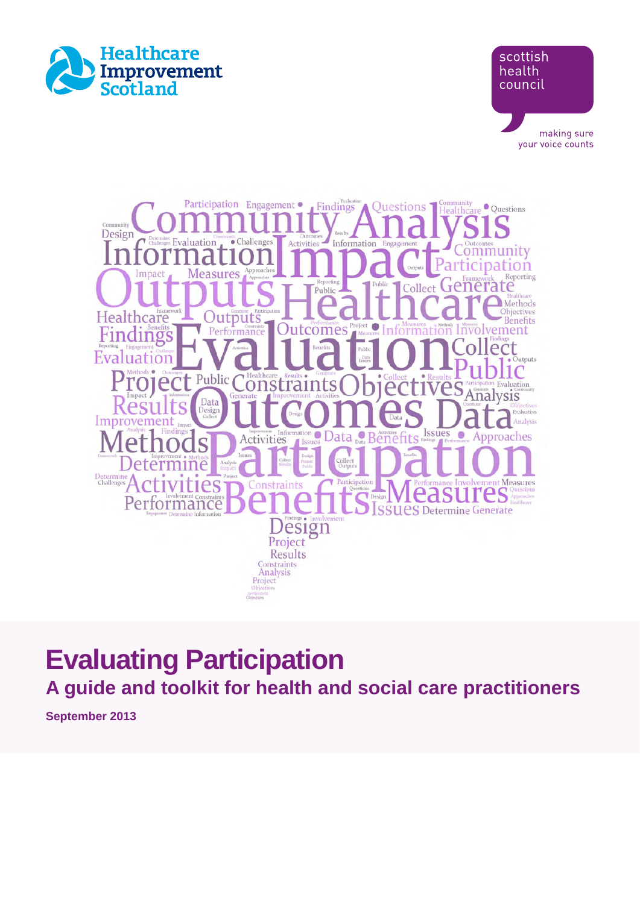





# **Evaluating Participation**

**A guide and toolkit for health and social care practitioners**

**September 2013**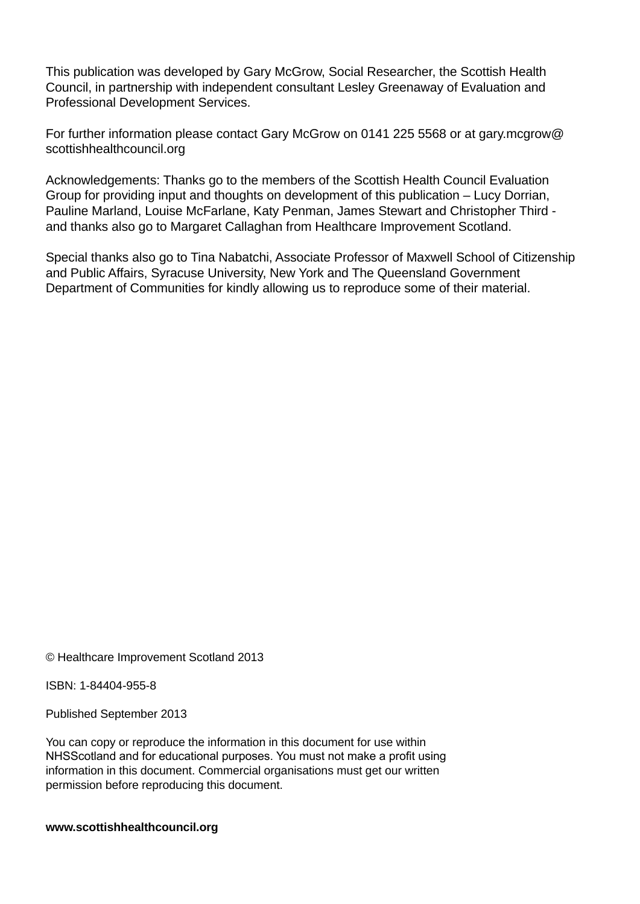This publication was developed by Gary McGrow, Social Researcher, the Scottish Health Council, in partnership with independent consultant Lesley Greenaway of Evaluation and Professional Development Services.

For further information please contact Gary McGrow on 0141 225 5568 or at gary.mcgrow@ scottishhealthcouncil.org

Acknowledgements: Thanks go to the members of the Scottish Health Council Evaluation Group for providing input and thoughts on development of this publication – Lucy Dorrian, Pauline Marland, Louise McFarlane, Katy Penman, James Stewart and Christopher Third and thanks also go to Margaret Callaghan from Healthcare Improvement Scotland.

Special thanks also go to Tina Nabatchi, Associate Professor of Maxwell School of Citizenship and Public Affairs, Syracuse University, New York and The Queensland Government Department of Communities for kindly allowing us to reproduce some of their material.

© Healthcare Improvement Scotland 2013

ISBN: 1-84404-955-8

Published September 2013

You can copy or reproduce the information in this document for use within NHSScotland and for educational purposes. You must not make a profit using information in this document. Commercial organisations must get our written permission before reproducing this document.

**www.scottishhealthcouncil.org**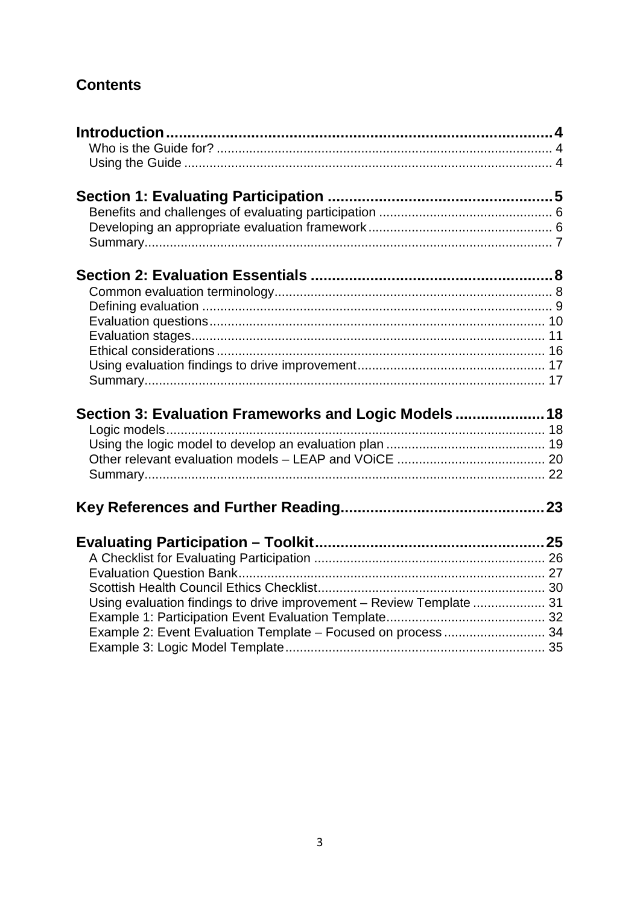# **Contents**

| Section 3: Evaluation Frameworks and Logic Models  18                |  |
|----------------------------------------------------------------------|--|
|                                                                      |  |
|                                                                      |  |
|                                                                      |  |
|                                                                      |  |
|                                                                      |  |
|                                                                      |  |
|                                                                      |  |
|                                                                      |  |
|                                                                      |  |
|                                                                      |  |
| Using evaluation findings to drive improvement - Review Template  31 |  |
|                                                                      |  |
| Example 2: Event Evaluation Template - Focused on process  34        |  |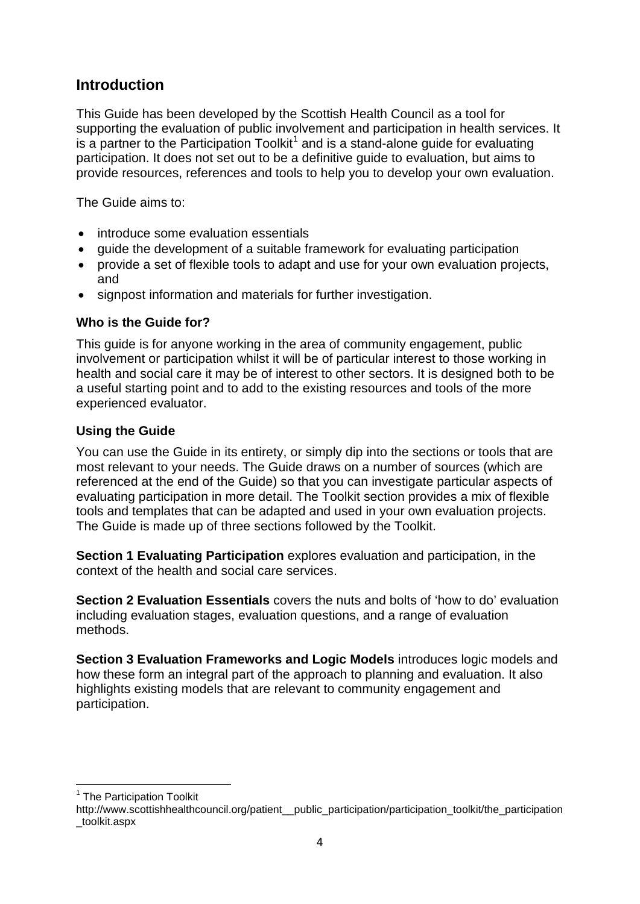# <span id="page-3-0"></span>**Introduction**

This Guide has been developed by the Scottish Health Council as a tool for supporting the evaluation of public involvement and participation in health services. It is a partner to the Participation Toolkit<sup>[1](#page-3-3)</sup> and is a stand-alone guide for evaluating participation. It does not set out to be a definitive guide to evaluation, but aims to provide resources, references and tools to help you to develop your own evaluation.

The Guide aims to:

- introduce some evaluation essentials
- guide the development of a suitable framework for evaluating participation
- provide a set of flexible tools to adapt and use for your own evaluation projects, and
- signpost information and materials for further investigation.

#### <span id="page-3-1"></span>**Who is the Guide for?**

This guide is for anyone working in the area of community engagement, public involvement or participation whilst it will be of particular interest to those working in health and social care it may be of interest to other sectors. It is designed both to be a useful starting point and to add to the existing resources and tools of the more experienced evaluator.

#### <span id="page-3-2"></span>**Using the Guide**

You can use the Guide in its entirety, or simply dip into the sections or tools that are most relevant to your needs. The Guide draws on a number of sources (which are referenced at the end of the Guide) so that you can investigate particular aspects of evaluating participation in more detail. The Toolkit section provides a mix of flexible tools and templates that can be adapted and used in your own evaluation projects. The Guide is made up of three sections followed by the Toolkit.

**Section 1 Evaluating Participation** explores evaluation and participation, in the context of the health and social care services.

**Section 2 Evaluation Essentials** covers the nuts and bolts of 'how to do' evaluation including evaluation stages, evaluation questions, and a range of evaluation methods.

**Section 3 Evaluation Frameworks and Logic Models** introduces logic models and how these form an integral part of the approach to planning and evaluation. It also highlights existing models that are relevant to community engagement and participation.

<span id="page-3-3"></span><sup>1</sup> The Participation Toolkit

 $\overline{\phantom{a}}$ 

http://www.scottishhealthcouncil.org/patient\_\_public\_participation/participation\_toolkit/the\_participation \_toolkit.aspx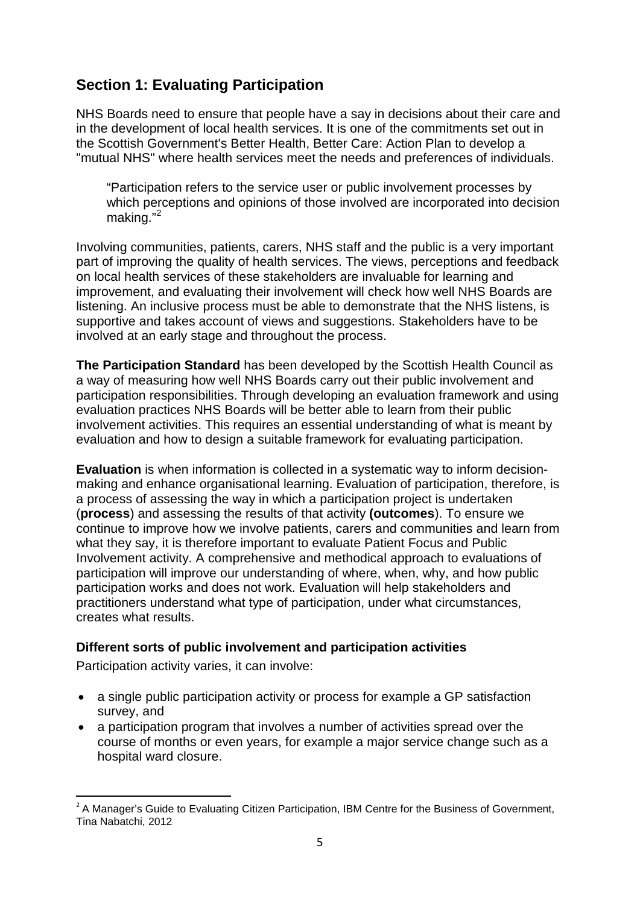# <span id="page-4-0"></span>**Section 1: Evaluating Participation**

NHS Boards need to ensure that people have a say in decisions about their care and in the development of local health services. It is one of the commitments set out in the Scottish Government's Better Health, Better Care: Action Plan to develop a "mutual NHS" where health services meet the needs and preferences of individuals.

"Participation refers to the service user or public involvement processes by which perceptions and opinions of those involved are incorporated into decision making."<sup>[2](#page-4-1)</sup>

Involving communities, patients, carers, NHS staff and the public is a very important part of improving the quality of health services. The views, perceptions and feedback on local health services of these stakeholders are invaluable for learning and improvement, and evaluating their involvement will check how well NHS Boards are listening. An inclusive process must be able to demonstrate that the NHS listens, is supportive and takes account of views and suggestions. Stakeholders have to be involved at an early stage and throughout the process.

**The Participation Standard** has been developed by the Scottish Health Council as a way of measuring how well NHS Boards carry out their public involvement and participation responsibilities. Through developing an evaluation framework and using evaluation practices NHS Boards will be better able to learn from their public involvement activities. This requires an essential understanding of what is meant by evaluation and how to design a suitable framework for evaluating participation.

**Evaluation** is when information is collected in a systematic way to inform decisionmaking and enhance organisational learning. Evaluation of participation, therefore, is a process of assessing the way in which a participation project is undertaken (**process**) and assessing the results of that activity **(outcomes**). To ensure we continue to improve how we involve patients, carers and communities and learn from what they say, it is therefore important to evaluate Patient Focus and Public Involvement activity. A comprehensive and methodical approach to evaluations of participation will improve our understanding of where, when, why, and how public participation works and does not work. Evaluation will help stakeholders and practitioners understand what type of participation, under what circumstances, creates what results.

#### **Different sorts of public involvement and participation activities**

Participation activity varies, it can involve:

- a single public participation activity or process for example a GP satisfaction survey, and
- a participation program that involves a number of activities spread over the course of months or even years, for example a major service change such as a hospital ward closure.

<span id="page-4-1"></span><sup>&</sup>lt;sup>2</sup> A Manager's Guide to Evaluating Citizen Participation, IBM Centre for the Business of Government, Tina Nabatchi, 2012 -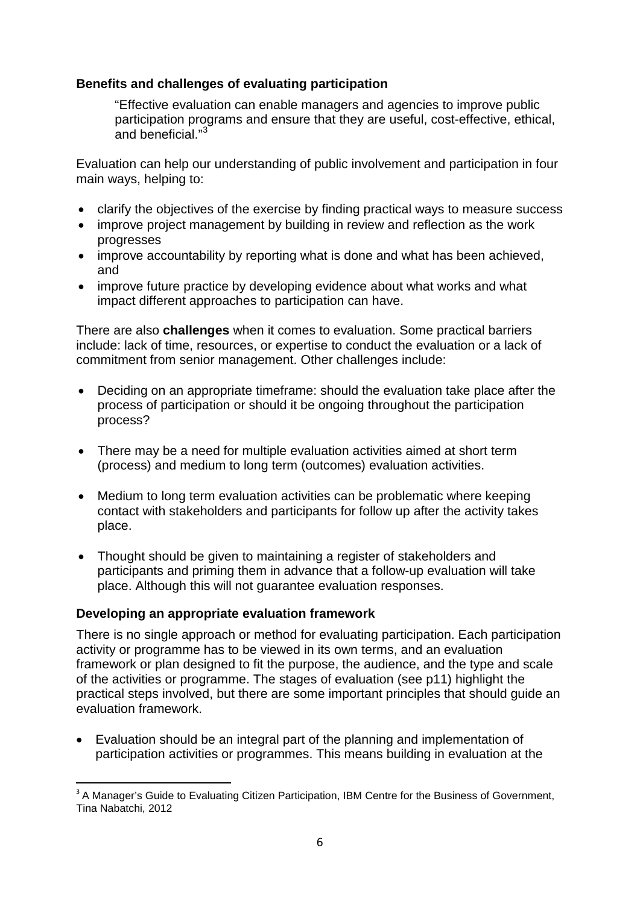#### <span id="page-5-0"></span>**Benefits and challenges of evaluating participation**

"Effective evaluation can enable managers and agencies to improve public participation programs and ensure that they are useful, cost-effective, ethical, and beneficial." [3](#page-5-2)

Evaluation can help our understanding of public involvement and participation in four main ways, helping to:

- clarify the objectives of the exercise by finding practical ways to measure success
- improve project management by building in review and reflection as the work progresses
- improve accountability by reporting what is done and what has been achieved, and
- improve future practice by developing evidence about what works and what impact different approaches to participation can have.

There are also **challenges** when it comes to evaluation. Some practical barriers include: lack of time, resources, or expertise to conduct the evaluation or a lack of commitment from senior management. Other challenges include:

- Deciding on an appropriate timeframe: should the evaluation take place after the process of participation or should it be ongoing throughout the participation process?
- There may be a need for multiple evaluation activities aimed at short term (process) and medium to long term (outcomes) evaluation activities.
- Medium to long term evaluation activities can be problematic where keeping contact with stakeholders and participants for follow up after the activity takes place.
- Thought should be given to maintaining a register of stakeholders and participants and priming them in advance that a follow-up evaluation will take place. Although this will not guarantee evaluation responses.

#### <span id="page-5-1"></span>**Developing an appropriate evaluation framework**

-

There is no single approach or method for evaluating participation. Each participation activity or programme has to be viewed in its own terms, and an evaluation framework or plan designed to fit the purpose, the audience, and the type and scale of the activities or programme. The stages of evaluation (see p11) highlight the practical steps involved, but there are some important principles that should guide an evaluation framework.

• Evaluation should be an integral part of the planning and implementation of participation activities or programmes. This means building in evaluation at the

<span id="page-5-2"></span><sup>&</sup>lt;sup>3</sup> A Manager's Guide to Evaluating Citizen Participation, IBM Centre for the Business of Government, Tina Nabatchi, 2012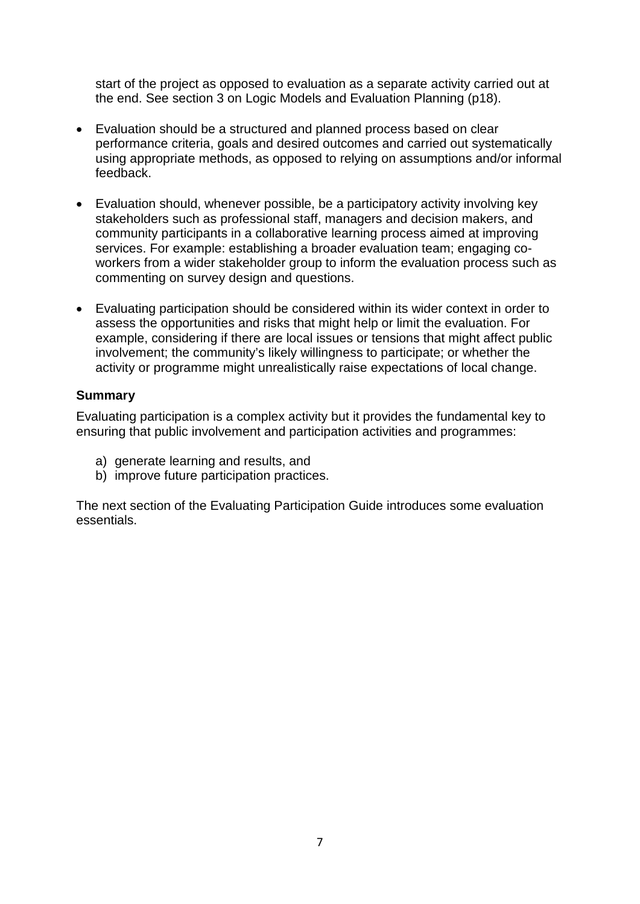start of the project as opposed to evaluation as a separate activity carried out at the end. See section 3 on Logic Models and Evaluation Planning (p18).

- Evaluation should be a structured and planned process based on clear performance criteria, goals and desired outcomes and carried out systematically using appropriate methods, as opposed to relying on assumptions and/or informal feedback.
- Evaluation should, whenever possible, be a participatory activity involving key stakeholders such as professional staff, managers and decision makers, and community participants in a collaborative learning process aimed at improving services. For example: establishing a broader evaluation team; engaging coworkers from a wider stakeholder group to inform the evaluation process such as commenting on survey design and questions.
- Evaluating participation should be considered within its wider context in order to assess the opportunities and risks that might help or limit the evaluation. For example, considering if there are local issues or tensions that might affect public involvement; the community's likely willingness to participate; or whether the activity or programme might unrealistically raise expectations of local change.

#### <span id="page-6-0"></span>**Summary**

Evaluating participation is a complex activity but it provides the fundamental key to ensuring that public involvement and participation activities and programmes:

- a) generate learning and results, and
- b) improve future participation practices.

The next section of the Evaluating Participation Guide introduces some evaluation essentials.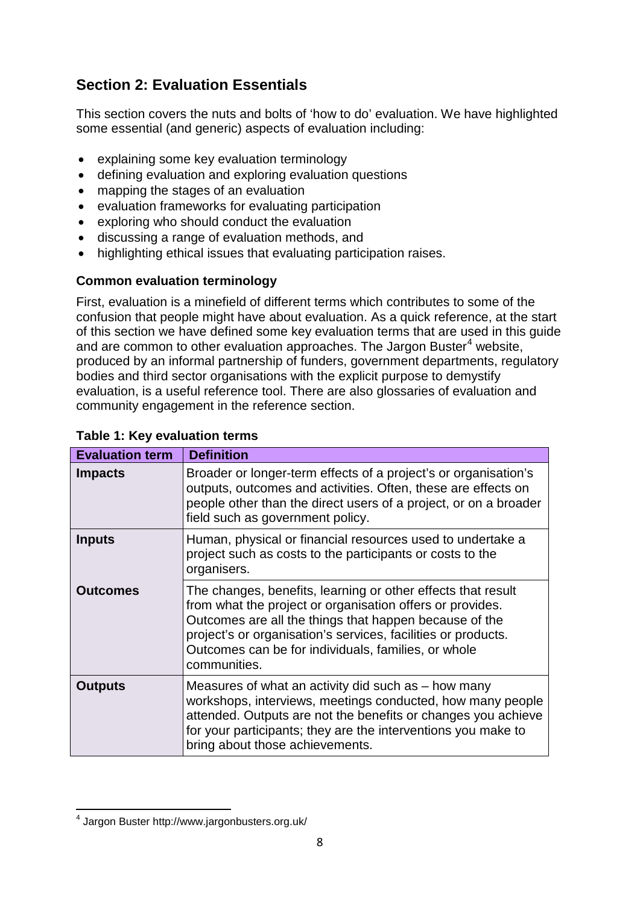# <span id="page-7-0"></span>**Section 2: Evaluation Essentials**

This section covers the nuts and bolts of 'how to do' evaluation. We have highlighted some essential (and generic) aspects of evaluation including:

- explaining some key evaluation terminology
- defining evaluation and exploring evaluation questions
- mapping the stages of an evaluation
- evaluation frameworks for evaluating participation
- exploring who should conduct the evaluation
- discussing a range of evaluation methods, and
- highlighting ethical issues that evaluating participation raises.

#### <span id="page-7-1"></span>**Common evaluation terminology**

First, evaluation is a minefield of different terms which contributes to some of the confusion that people might have about evaluation. As a quick reference, at the start of this section we have defined some key evaluation terms that are used in this guide and are common to other evaluation approaches. The Jargon Buster<sup>[4](#page-7-2)</sup> website, produced by an informal partnership of funders, government departments, regulatory bodies and third sector organisations with the explicit purpose to demystify evaluation, is a useful reference tool. There are also glossaries of evaluation and community engagement in the reference section.

| <b>Evaluation term</b> | <b>Definition</b>                                                                                                                                                                                                                                                                                                           |
|------------------------|-----------------------------------------------------------------------------------------------------------------------------------------------------------------------------------------------------------------------------------------------------------------------------------------------------------------------------|
| <b>Impacts</b>         | Broader or longer-term effects of a project's or organisation's<br>outputs, outcomes and activities. Often, these are effects on<br>people other than the direct users of a project, or on a broader<br>field such as government policy.                                                                                    |
| <b>Inputs</b>          | Human, physical or financial resources used to undertake a<br>project such as costs to the participants or costs to the<br>organisers.                                                                                                                                                                                      |
| <b>Outcomes</b>        | The changes, benefits, learning or other effects that result<br>from what the project or organisation offers or provides.<br>Outcomes are all the things that happen because of the<br>project's or organisation's services, facilities or products.<br>Outcomes can be for individuals, families, or whole<br>communities. |
| <b>Outputs</b>         | Measures of what an activity did such as $-$ how many<br>workshops, interviews, meetings conducted, how many people<br>attended. Outputs are not the benefits or changes you achieve<br>for your participants; they are the interventions you make to<br>bring about those achievements.                                    |

#### **Table 1: Key evaluation terms**

<span id="page-7-2"></span> $^4$  Jargon Buster http://www.jargonbusters.org.uk/  $\overline{\phantom{a}}$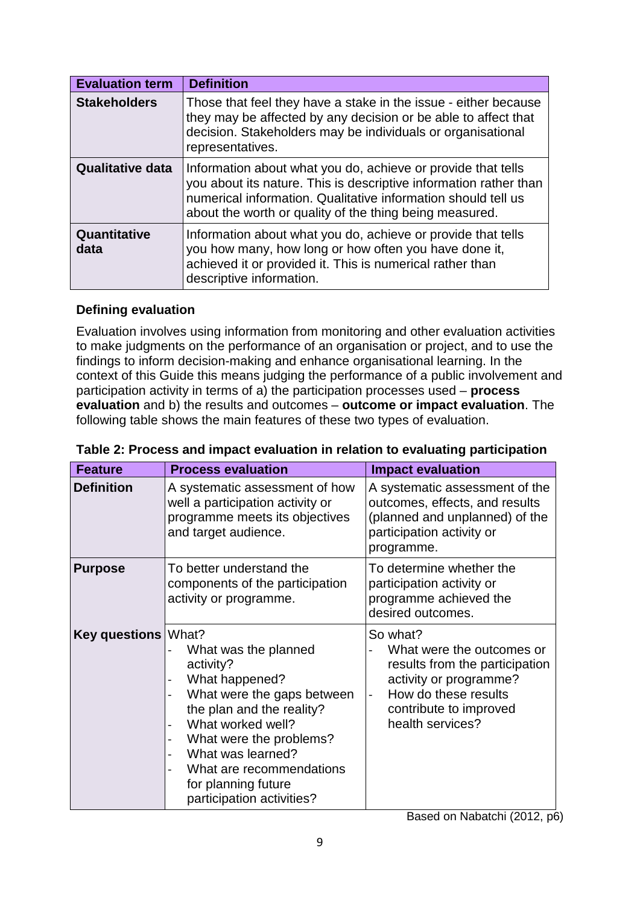| <b>Evaluation term</b>  | <b>Definition</b>                                                                                                                                                                                                                                             |
|-------------------------|---------------------------------------------------------------------------------------------------------------------------------------------------------------------------------------------------------------------------------------------------------------|
| <b>Stakeholders</b>     | Those that feel they have a stake in the issue - either because<br>they may be affected by any decision or be able to affect that<br>decision. Stakeholders may be individuals or organisational<br>representatives.                                          |
| <b>Qualitative data</b> | Information about what you do, achieve or provide that tells<br>you about its nature. This is descriptive information rather than<br>numerical information. Qualitative information should tell us<br>about the worth or quality of the thing being measured. |
| Quantitative<br>data    | Information about what you do, achieve or provide that tells<br>you how many, how long or how often you have done it,<br>achieved it or provided it. This is numerical rather than<br>descriptive information.                                                |

#### <span id="page-8-0"></span>**Defining evaluation**

Evaluation involves using information from monitoring and other evaluation activities to make judgments on the performance of an organisation or project, and to use the findings to inform decision-making and enhance organisational learning. In the context of this Guide this means judging the performance of a public involvement and participation activity in terms of a) the participation processes used – **process evaluation** and b) the results and outcomes – **outcome or impact evaluation**. The following table shows the main features of these two types of evaluation.

| <b>Feature</b>             | <b>Process evaluation</b>                                                                                                                                                                                                                                                                                                              | <b>Impact evaluation</b>                                                                                                                                                                            |
|----------------------------|----------------------------------------------------------------------------------------------------------------------------------------------------------------------------------------------------------------------------------------------------------------------------------------------------------------------------------------|-----------------------------------------------------------------------------------------------------------------------------------------------------------------------------------------------------|
| <b>Definition</b>          | A systematic assessment of how<br>well a participation activity or<br>programme meets its objectives<br>and target audience.                                                                                                                                                                                                           | A systematic assessment of the<br>outcomes, effects, and results<br>(planned and unplanned) of the<br>participation activity or<br>programme.                                                       |
| <b>Purpose</b>             | To better understand the<br>components of the participation<br>activity or programme.                                                                                                                                                                                                                                                  | To determine whether the<br>participation activity or<br>programme achieved the<br>desired outcomes.                                                                                                |
| <b>Key questions</b> What? | What was the planned<br>activity?<br>What happened?<br>-<br>What were the gaps between<br>the plan and the reality?<br>What worked well?<br>$\overline{\phantom{0}}$<br>What were the problems?<br>÷,<br>What was learned?<br>$\overline{\phantom{0}}$<br>What are recommendations<br>for planning future<br>participation activities? | So what?<br>What were the outcomes or<br>results from the participation<br>activity or programme?<br>How do these results<br>$\overline{\phantom{0}}$<br>contribute to improved<br>health services? |

| Table 2: Process and impact evaluation in relation to evaluating participation |  |  |
|--------------------------------------------------------------------------------|--|--|
|--------------------------------------------------------------------------------|--|--|

Based on Nabatchi (2012, p6)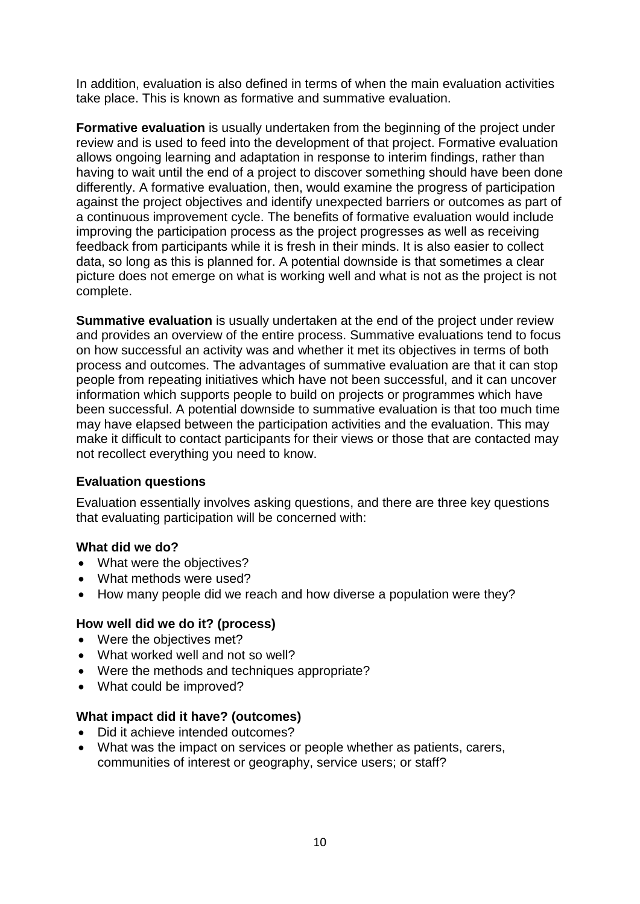In addition, evaluation is also defined in terms of when the main evaluation activities take place. This is known as formative and summative evaluation.

**Formative evaluation** is usually undertaken from the beginning of the project under review and is used to feed into the development of that project. Formative evaluation allows ongoing learning and adaptation in response to interim findings, rather than having to wait until the end of a project to discover something should have been done differently. A formative evaluation, then, would examine the progress of participation against the project objectives and identify unexpected barriers or outcomes as part of a continuous improvement cycle. The benefits of formative evaluation would include improving the participation process as the project progresses as well as receiving feedback from participants while it is fresh in their minds. It is also easier to collect data, so long as this is planned for. A potential downside is that sometimes a clear picture does not emerge on what is working well and what is not as the project is not complete.

**Summative evaluation** is usually undertaken at the end of the project under review and provides an overview of the entire process. Summative evaluations tend to focus on how successful an activity was and whether it met its objectives in terms of both process and outcomes. The advantages of summative evaluation are that it can stop people from repeating initiatives which have not been successful, and it can uncover information which supports people to build on projects or programmes which have been successful. A potential downside to summative evaluation is that too much time may have elapsed between the participation activities and the evaluation. This may make it difficult to contact participants for their views or those that are contacted may not recollect everything you need to know.

#### <span id="page-9-0"></span>**Evaluation questions**

Evaluation essentially involves asking questions, and there are three key questions that evaluating participation will be concerned with:

#### **What did we do?**

- What were the objectives?
- What methods were used?
- How many people did we reach and how diverse a population were they?

#### **How well did we do it? (process)**

- Were the objectives met?
- What worked well and not so well?
- Were the methods and techniques appropriate?
- What could be improved?

#### **What impact did it have? (outcomes)**

- Did it achieve intended outcomes?
- What was the impact on services or people whether as patients, carers, communities of interest or geography, service users; or staff?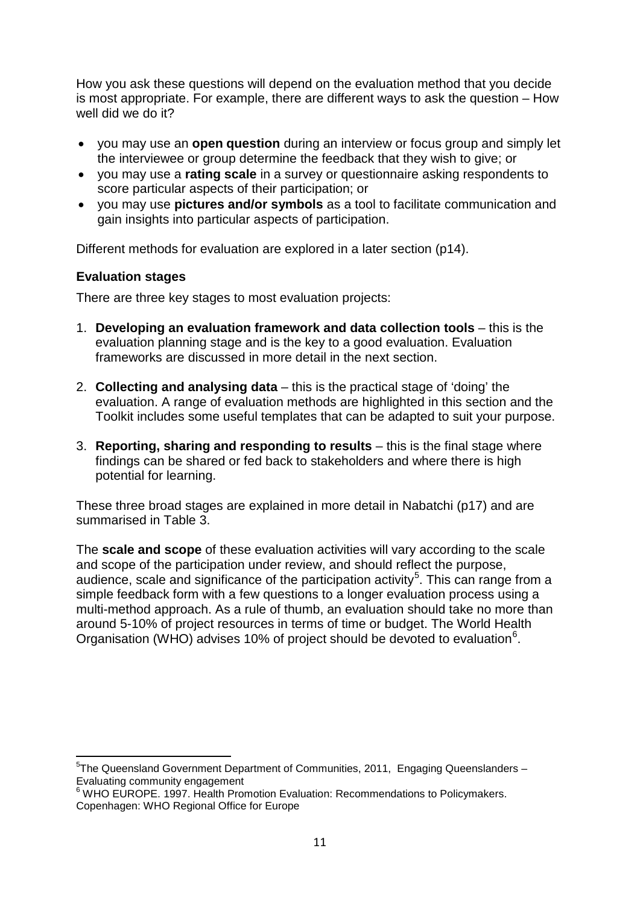How you ask these questions will depend on the evaluation method that you decide is most appropriate. For example, there are different ways to ask the question – How well did we do it?

- you may use an **open question** during an interview or focus group and simply let the interviewee or group determine the feedback that they wish to give; or
- you may use a **rating scale** in a survey or questionnaire asking respondents to score particular aspects of their participation; or
- you may use **pictures and/or symbols** as a tool to facilitate communication and gain insights into particular aspects of participation.

Different methods for evaluation are explored in a later section (p14).

#### <span id="page-10-0"></span>**Evaluation stages**

There are three key stages to most evaluation projects:

- 1. **Developing an evaluation framework and data collection tools** this is the evaluation planning stage and is the key to a good evaluation. Evaluation frameworks are discussed in more detail in the next section.
- 2. **Collecting and analysing data** this is the practical stage of 'doing' the evaluation. A range of evaluation methods are highlighted in this section and the Toolkit includes some useful templates that can be adapted to suit your purpose.
- 3. **Reporting, sharing and responding to results** this is the final stage where findings can be shared or fed back to stakeholders and where there is high potential for learning.

These three broad stages are explained in more detail in Nabatchi (p17) and are summarised in Table 3.

The **scale and scope** of these evaluation activities will vary according to the scale and scope of the participation under review, and should reflect the purpose, audience, scale and significance of the participation activity<sup>[5](#page-10-1)</sup>. This can range from a simple feedback form with a few questions to a longer evaluation process using a multi-method approach. As a rule of thumb, an evaluation should take no more than around 5-10% of project resources in terms of time or budget. The World Health Organisation (WHO) advises 10% of project should be devoted to evaluation<sup>[6](#page-10-2)</sup>.

<span id="page-10-1"></span><sup>&</sup>lt;sup>5</sup>The Queensland Government Department of Communities, 2011, Engaging Queenslanders -Evaluating community engagement<br>
<sup>6</sup> WHO EUROPE. 1997. Health Promotion Evaluation: Recommendations to Policymakers. -

<span id="page-10-2"></span>Copenhagen: WHO Regional Office for Europe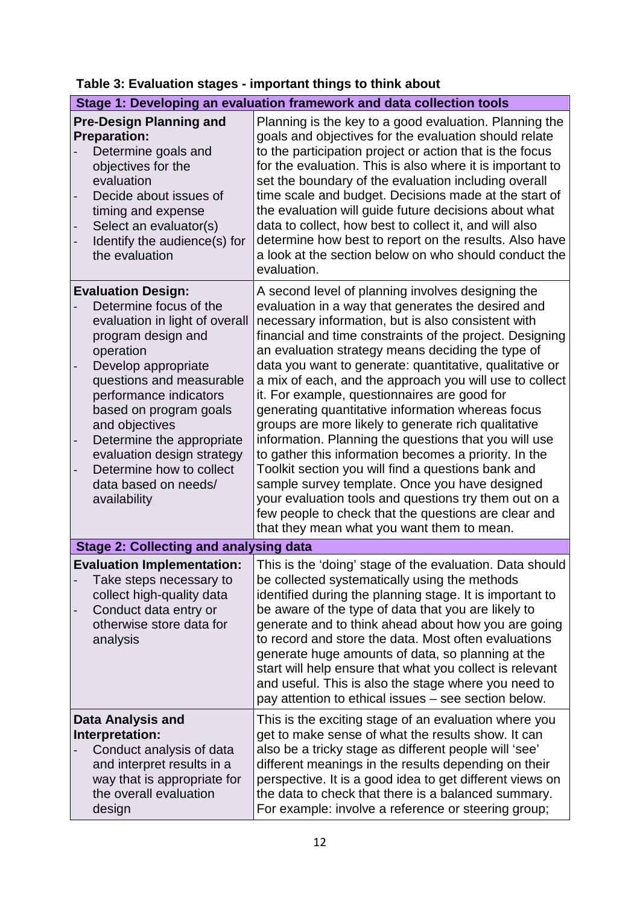|                                                                                                                                                                                                                                                                                                                                                                                  | Stage 1: Developing an evaluation framework and data collection tools                                                                                                                                                                                                                                                                                                                                                                                                                                                                                                                                                                                                                                                                                                                                                                                                                                                                                     |
|----------------------------------------------------------------------------------------------------------------------------------------------------------------------------------------------------------------------------------------------------------------------------------------------------------------------------------------------------------------------------------|-----------------------------------------------------------------------------------------------------------------------------------------------------------------------------------------------------------------------------------------------------------------------------------------------------------------------------------------------------------------------------------------------------------------------------------------------------------------------------------------------------------------------------------------------------------------------------------------------------------------------------------------------------------------------------------------------------------------------------------------------------------------------------------------------------------------------------------------------------------------------------------------------------------------------------------------------------------|
| <b>Pre-Design Planning and</b><br><b>Preparation:</b><br>Determine goals and<br>objectives for the<br>evaluation<br>Decide about issues of<br>timing and expense<br>Select an evaluator(s)<br>Identify the audience(s) for<br>the evaluation                                                                                                                                     | Planning is the key to a good evaluation. Planning the<br>goals and objectives for the evaluation should relate<br>to the participation project or action that is the focus<br>for the evaluation. This is also where it is important to<br>set the boundary of the evaluation including overall<br>time scale and budget. Decisions made at the start of<br>the evaluation will guide future decisions about what<br>data to collect, how best to collect it, and will also<br>determine how best to report on the results. Also have<br>a look at the section below on who should conduct the<br>evaluation.                                                                                                                                                                                                                                                                                                                                            |
| <b>Evaluation Design:</b><br>Determine focus of the<br>evaluation in light of overall<br>program design and<br>operation<br>Develop appropriate<br>questions and measurable<br>performance indicators<br>based on program goals<br>and objectives<br>Determine the appropriate<br>evaluation design strategy<br>Determine how to collect<br>data based on needs/<br>availability | A second level of planning involves designing the<br>evaluation in a way that generates the desired and<br>necessary information, but is also consistent with<br>financial and time constraints of the project. Designing<br>an evaluation strategy means deciding the type of<br>data you want to generate: quantitative, qualitative or<br>a mix of each, and the approach you will use to collect<br>it. For example, questionnaires are good for<br>generating quantitative information whereas focus<br>groups are more likely to generate rich qualitative<br>information. Planning the questions that you will use<br>to gather this information becomes a priority. In the<br>Toolkit section you will find a questions bank and<br>sample survey template. Once you have designed<br>your evaluation tools and questions try them out on a<br>few people to check that the questions are clear and<br>that they mean what you want them to mean. |
| <b>Stage 2: Collecting and analysing data</b>                                                                                                                                                                                                                                                                                                                                    |                                                                                                                                                                                                                                                                                                                                                                                                                                                                                                                                                                                                                                                                                                                                                                                                                                                                                                                                                           |
| <b>Evaluation Implementation:</b><br>Take steps necessary to<br>collect high-quality data<br>Conduct data entry or<br>otherwise store data for<br>analysis                                                                                                                                                                                                                       | This is the 'doing' stage of the evaluation. Data should<br>be collected systematically using the methods<br>identified during the planning stage. It is important to<br>be aware of the type of data that you are likely to<br>generate and to think ahead about how you are going<br>to record and store the data. Most often evaluations<br>generate huge amounts of data, so planning at the<br>start will help ensure that what you collect is relevant<br>and useful. This is also the stage where you need to<br>pay attention to ethical issues - see section below.                                                                                                                                                                                                                                                                                                                                                                              |
| <b>Data Analysis and</b><br>Interpretation:<br>Conduct analysis of data<br>and interpret results in a<br>way that is appropriate for<br>the overall evaluation<br>design                                                                                                                                                                                                         | This is the exciting stage of an evaluation where you<br>get to make sense of what the results show. It can<br>also be a tricky stage as different people will 'see'<br>different meanings in the results depending on their<br>perspective. It is a good idea to get different views on<br>the data to check that there is a balanced summary.<br>For example: involve a reference or steering group;                                                                                                                                                                                                                                                                                                                                                                                                                                                                                                                                                    |

#### **Table 3: Evaluation stages - important things to think about** ÷.

۳

t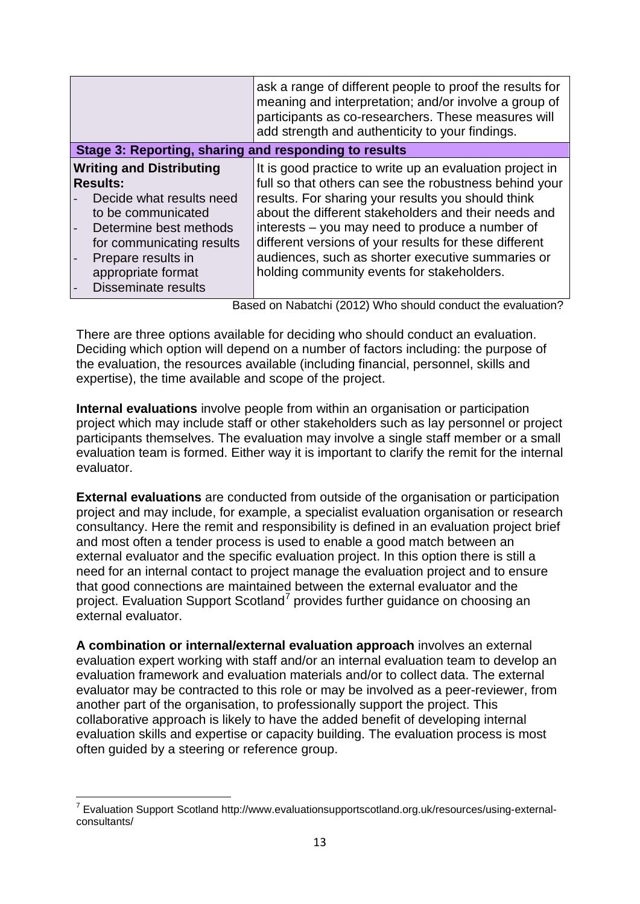|                                                                                                                                                                                                                                       | ask a range of different people to proof the results for<br>meaning and interpretation; and/or involve a group of<br>participants as co-researchers. These measures will<br>add strength and authenticity to your findings.                                                                                                                                                                                                                      |  |
|---------------------------------------------------------------------------------------------------------------------------------------------------------------------------------------------------------------------------------------|--------------------------------------------------------------------------------------------------------------------------------------------------------------------------------------------------------------------------------------------------------------------------------------------------------------------------------------------------------------------------------------------------------------------------------------------------|--|
| Stage 3: Reporting, sharing and responding to results                                                                                                                                                                                 |                                                                                                                                                                                                                                                                                                                                                                                                                                                  |  |
| <b>Writing and Distributing</b><br><b>Results:</b><br>Decide what results need<br>to be communicated<br>Determine best methods<br>for communicating results<br>Prepare results in<br>appropriate format<br><b>Disseminate results</b> | It is good practice to write up an evaluation project in<br>full so that others can see the robustness behind your<br>results. For sharing your results you should think<br>about the different stakeholders and their needs and<br>interests – you may need to produce a number of<br>different versions of your results for these different<br>audiences, such as shorter executive summaries or<br>holding community events for stakeholders. |  |

Based on Nabatchi (2012) Who should conduct the evaluation?

There are three options available for deciding who should conduct an evaluation. Deciding which option will depend on a number of factors including: the purpose of the evaluation, the resources available (including financial, personnel, skills and expertise), the time available and scope of the project.

**Internal evaluations** involve people from within an organisation or participation project which may include staff or other stakeholders such as lay personnel or project participants themselves. The evaluation may involve a single staff member or a small evaluation team is formed. Either way it is important to clarify the remit for the internal evaluator.

**External evaluations** are conducted from outside of the organisation or participation project and may include, for example, a specialist evaluation organisation or research consultancy. Here the remit and responsibility is defined in an evaluation project brief and most often a tender process is used to enable a good match between an external evaluator and the specific evaluation project. In this option there is still a need for an internal contact to project manage the evaluation project and to ensure that good connections are maintained between the external evaluator and the project. Evaluation Support Scotland<sup>[7](#page-12-0)</sup> provides further guidance on choosing an external evaluator.

**A combination or internal/external evaluation approach** involves an external evaluation expert working with staff and/or an internal evaluation team to develop an evaluation framework and evaluation materials and/or to collect data. The external evaluator may be contracted to this role or may be involved as a peer-reviewer, from another part of the organisation, to professionally support the project. This collaborative approach is likely to have the added benefit of developing internal evaluation skills and expertise or capacity building. The evaluation process is most often guided by a steering or reference group.

<span id="page-12-0"></span> $7$  Evaluation Support Scotland http://www.evaluationsupportscotland.org.uk/resources/using-externalconsultants/ -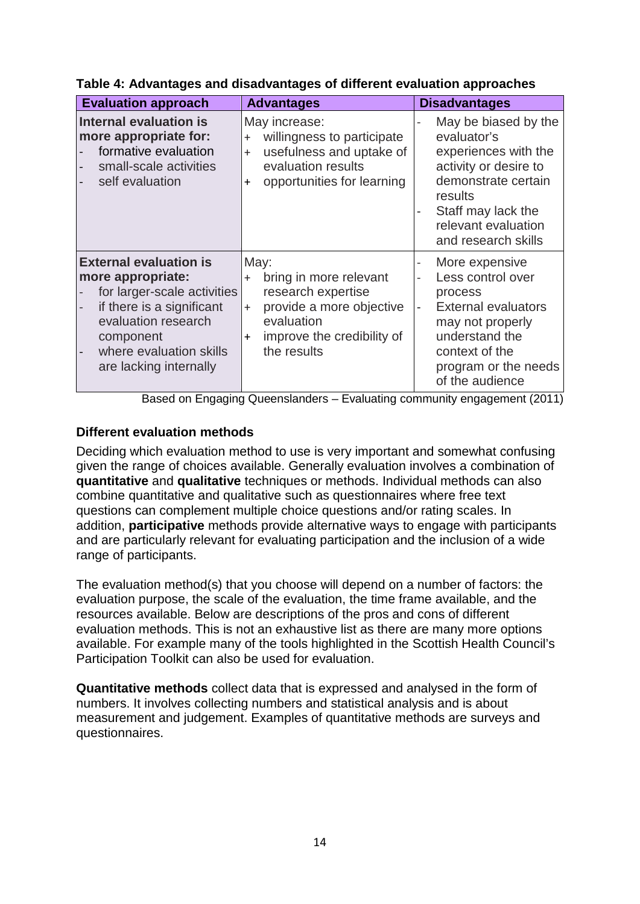| <b>Evaluation approach</b>                                                                                                                                                                              | <b>Advantages</b>                                                                                                                                                        | <b>Disadvantages</b>                                                                                                                                                                       |
|---------------------------------------------------------------------------------------------------------------------------------------------------------------------------------------------------------|--------------------------------------------------------------------------------------------------------------------------------------------------------------------------|--------------------------------------------------------------------------------------------------------------------------------------------------------------------------------------------|
| Internal evaluation is<br>more appropriate for:<br>formative evaluation<br>small-scale activities<br>self evaluation                                                                                    | May increase:<br>willingness to participate<br>$\ddot{}$<br>usefulness and uptake of<br>$\ddot{}$<br>evaluation results<br>opportunities for learning<br>$+$             | May be biased by the<br>evaluator's<br>experiences with the<br>activity or desire to<br>demonstrate certain<br>results<br>Staff may lack the<br>relevant evaluation<br>and research skills |
| <b>External evaluation is</b><br>more appropriate:<br>for larger-scale activities<br>if there is a significant<br>evaluation research<br>component<br>where evaluation skills<br>are lacking internally | May:<br>bring in more relevant<br>$\ddot{}$<br>research expertise<br>provide a more objective<br>$+$<br>evaluation<br>improve the credibility of<br>$\pm$<br>the results | More expensive<br>Less control over<br>process<br><b>External evaluators</b><br>may not properly<br>understand the<br>context of the<br>program or the needs<br>of the audience            |

#### **Table 4: Advantages and disadvantages of different evaluation approaches**

Based on Engaging Queenslanders – Evaluating community engagement (2011)

#### **Different evaluation methods**

Deciding which evaluation method to use is very important and somewhat confusing given the range of choices available. Generally evaluation involves a combination of **quantitative** and **qualitative** techniques or methods. Individual methods can also combine quantitative and qualitative such as questionnaires where free text questions can complement multiple choice questions and/or rating scales. In addition, **participative** methods provide alternative ways to engage with participants and are particularly relevant for evaluating participation and the inclusion of a wide range of participants.

The evaluation method(s) that you choose will depend on a number of factors: the evaluation purpose, the scale of the evaluation, the time frame available, and the resources available. Below are descriptions of the pros and cons of different evaluation methods. This is not an exhaustive list as there are many more options available. For example many of the tools highlighted in the Scottish Health Council's Participation Toolkit can also be used for evaluation.

**Quantitative methods** collect data that is expressed and analysed in the form of numbers. It involves collecting numbers and statistical analysis and is about measurement and judgement. Examples of quantitative methods are surveys and questionnaires.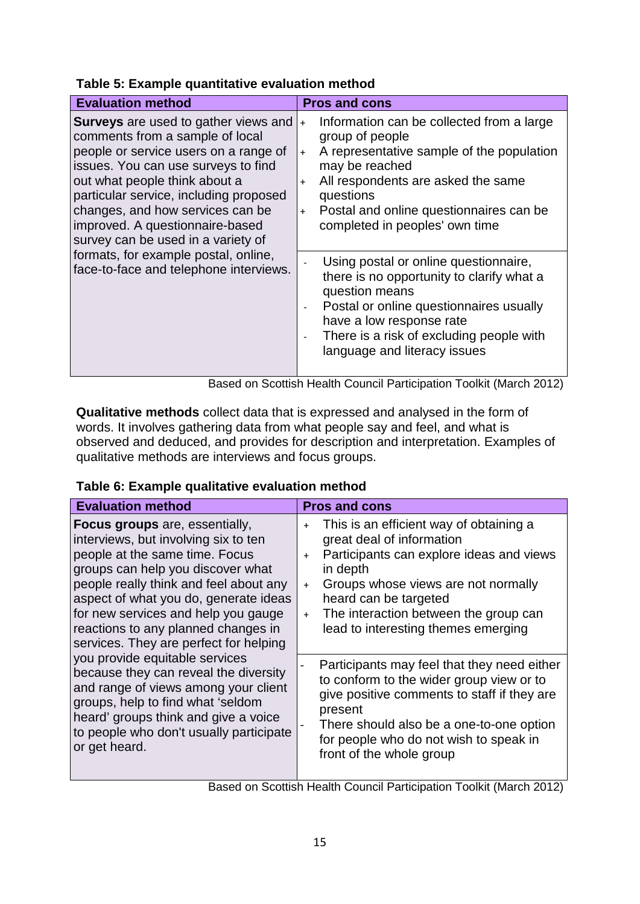| Table 5: Example quantitative evaluation method |  |
|-------------------------------------------------|--|
|-------------------------------------------------|--|

| <b>Evaluation method</b>                                                                                                                                                                                                                                                                                                                                                                                                                 | <b>Pros and cons</b>                                                                                                                                                                                                                                                                    |
|------------------------------------------------------------------------------------------------------------------------------------------------------------------------------------------------------------------------------------------------------------------------------------------------------------------------------------------------------------------------------------------------------------------------------------------|-----------------------------------------------------------------------------------------------------------------------------------------------------------------------------------------------------------------------------------------------------------------------------------------|
| <b>Surveys</b> are used to gather views and<br>comments from a sample of local<br>people or service users on a range of<br>issues. You can use surveys to find<br>out what people think about a<br>particular service, including proposed<br>changes, and how services can be<br>improved. A questionnaire-based<br>survey can be used in a variety of<br>formats, for example postal, online,<br>face-to-face and telephone interviews. | Information can be collected from a large<br>$\ddot{}$<br>group of people<br>A representative sample of the population<br>may be reached<br>All respondents are asked the same<br>$+$<br>questions<br>Postal and online questionnaires can be<br>$+$<br>completed in peoples' own time  |
|                                                                                                                                                                                                                                                                                                                                                                                                                                          | Using postal or online questionnaire,<br>there is no opportunity to clarify what a<br>question means<br>Postal or online questionnaires usually<br>$\qquad \qquad \blacksquare$<br>have a low response rate<br>There is a risk of excluding people with<br>language and literacy issues |

Based on Scottish Health Council Participation Toolkit (March 2012)

**Qualitative methods** collect data that is expressed and analysed in the form of words. It involves gathering data from what people say and feel, and what is observed and deduced, and provides for description and interpretation. Examples of qualitative methods are interviews and focus groups.

#### **Table 6: Example qualitative evaluation method**

| <b>Evaluation method</b>                                                                                                                                                                                                                                                                                                                                                                                                                                                                                                                                                                                                    | <b>Pros and cons</b>                                                                                                                                                                                                                                                                                     |
|-----------------------------------------------------------------------------------------------------------------------------------------------------------------------------------------------------------------------------------------------------------------------------------------------------------------------------------------------------------------------------------------------------------------------------------------------------------------------------------------------------------------------------------------------------------------------------------------------------------------------------|----------------------------------------------------------------------------------------------------------------------------------------------------------------------------------------------------------------------------------------------------------------------------------------------------------|
| <b>Focus groups</b> are, essentially,<br>interviews, but involving six to ten<br>people at the same time. Focus<br>groups can help you discover what<br>people really think and feel about any<br>aspect of what you do, generate ideas<br>for new services and help you gauge<br>reactions to any planned changes in<br>services. They are perfect for helping<br>you provide equitable services<br>because they can reveal the diversity<br>and range of views among your client<br>groups, help to find what 'seldom<br>heard' groups think and give a voice<br>to people who don't usually participate<br>or get heard. | This is an efficient way of obtaining a<br>$+$<br>great deal of information<br>Participants can explore ideas and views<br>$+$<br>in depth<br>Groups whose views are not normally<br>$+$<br>heard can be targeted<br>The interaction between the group can<br>$+$<br>lead to interesting themes emerging |
|                                                                                                                                                                                                                                                                                                                                                                                                                                                                                                                                                                                                                             | Participants may feel that they need either<br>to conform to the wider group view or to<br>give positive comments to staff if they are<br>present<br>There should also be a one-to-one option<br>for people who do not wish to speak in<br>front of the whole group                                      |

Based on Scottish Health Council Participation Toolkit (March 2012)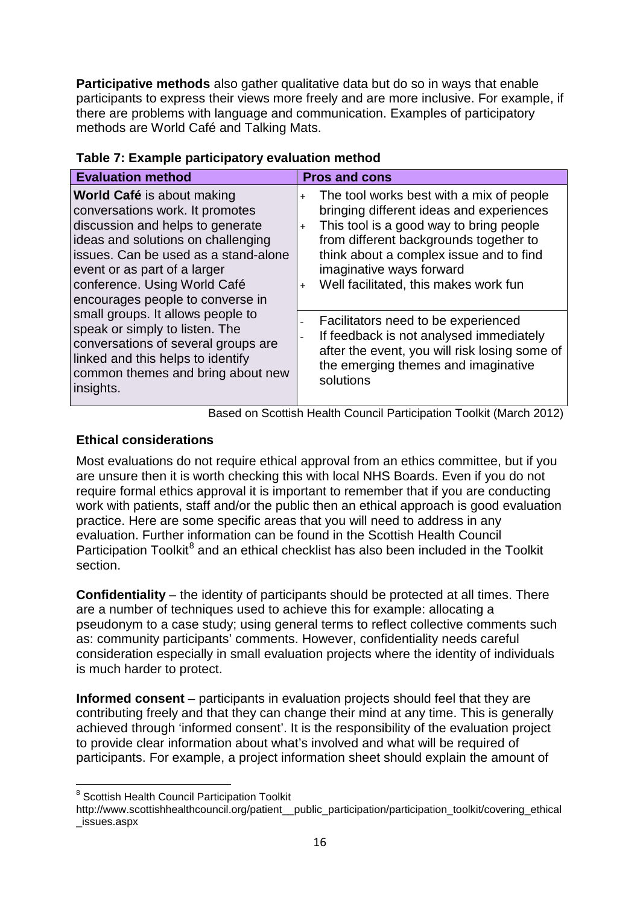**Participative methods** also gather qualitative data but do so in ways that enable participants to express their views more freely and are more inclusive. For example, if there are problems with language and communication. Examples of participatory methods are World Café and Talking Mats.

| <b>Evaluation method</b>                                                                                                                                                                                                                                                                   | <b>Pros and cons</b>                                                                                                                                                                                                                                                                                           |
|--------------------------------------------------------------------------------------------------------------------------------------------------------------------------------------------------------------------------------------------------------------------------------------------|----------------------------------------------------------------------------------------------------------------------------------------------------------------------------------------------------------------------------------------------------------------------------------------------------------------|
| <b>World Café</b> is about making<br>conversations work. It promotes<br>discussion and helps to generate<br>ideas and solutions on challenging<br>issues. Can be used as a stand-alone<br>event or as part of a larger<br>conference. Using World Café<br>encourages people to converse in | The tool works best with a mix of people<br>$+$<br>bringing different ideas and experiences<br>This tool is a good way to bring people<br>$+$<br>from different backgrounds together to<br>think about a complex issue and to find<br>imaginative ways forward<br>Well facilitated, this makes work fun<br>$+$ |
| small groups. It allows people to<br>speak or simply to listen. The<br>conversations of several groups are<br>linked and this helps to identify<br>common themes and bring about new<br>insights.                                                                                          | Facilitators need to be experienced<br>If feedback is not analysed immediately<br>after the event, you will risk losing some of<br>the emerging themes and imaginative<br>solutions                                                                                                                            |

**Table 7: Example participatory evaluation method**

Based on Scottish Health Council Participation Toolkit (March 2012)

## <span id="page-15-0"></span>**Ethical considerations**

Most evaluations do not require ethical approval from an ethics committee, but if you are unsure then it is worth checking this with local NHS Boards. Even if you do not require formal ethics approval it is important to remember that if you are conducting work with patients, staff and/or the public then an ethical approach is good evaluation practice. Here are some specific areas that you will need to address in any evaluation. Further information can be found in the Scottish Health Council Participation Toolkit<sup>[8](#page-15-1)</sup> and an ethical checklist has also been included in the Toolkit section.

**Confidentiality** – the identity of participants should be protected at all times. There are a number of techniques used to achieve this for example: allocating a pseudonym to a case study; using general terms to reflect collective comments such as: community participants' comments. However, confidentiality needs careful consideration especially in small evaluation projects where the identity of individuals is much harder to protect.

**Informed consent** – participants in evaluation projects should feel that they are contributing freely and that they can change their mind at any time. This is generally achieved through 'informed consent'. It is the responsibility of the evaluation project to provide clear information about what's involved and what will be required of participants. For example, a project information sheet should explain the amount of

 $\overline{\phantom{a}}$ 

<span id="page-15-1"></span><sup>8</sup> Scottish Health Council Participation Toolkit

http://www.scottishhealthcouncil.org/patient\_\_public\_participation/participation\_toolkit/covering\_ethical \_issues.aspx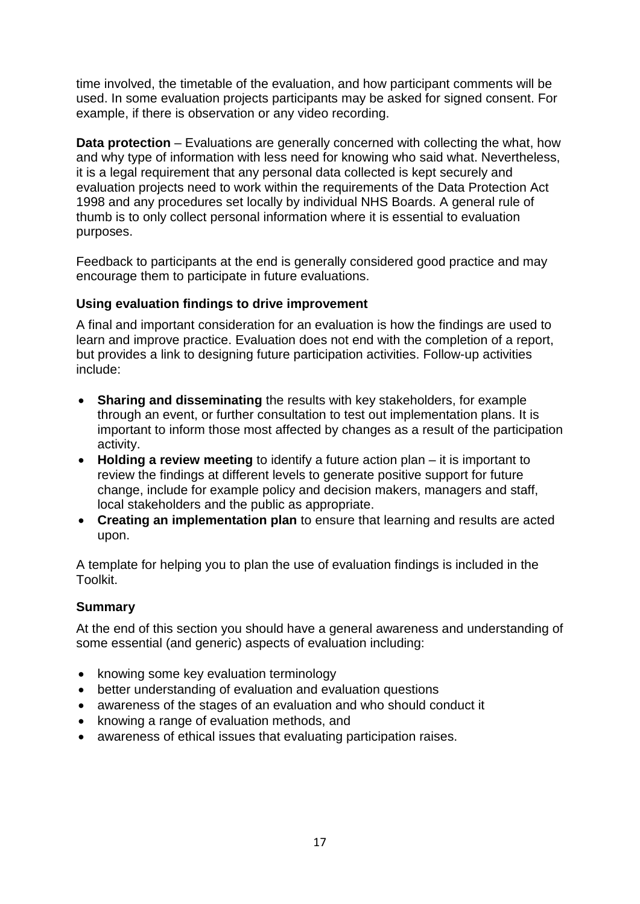time involved, the timetable of the evaluation, and how participant comments will be used. In some evaluation projects participants may be asked for signed consent. For example, if there is observation or any video recording.

**Data protection** – Evaluations are generally concerned with collecting the what, how and why type of information with less need for knowing who said what. Nevertheless, it is a legal requirement that any personal data collected is kept securely and evaluation projects need to work within the requirements of the Data Protection Act 1998 and any procedures set locally by individual NHS Boards. A general rule of thumb is to only collect personal information where it is essential to evaluation purposes.

Feedback to participants at the end is generally considered good practice and may encourage them to participate in future evaluations.

#### <span id="page-16-0"></span>**Using evaluation findings to drive improvement**

A final and important consideration for an evaluation is how the findings are used to learn and improve practice. Evaluation does not end with the completion of a report, but provides a link to designing future participation activities. Follow-up activities include:

- **Sharing and disseminating** the results with key stakeholders, for example through an event, or further consultation to test out implementation plans. It is important to inform those most affected by changes as a result of the participation activity.
- **Holding a review meeting** to identify a future action plan it is important to review the findings at different levels to generate positive support for future change, include for example policy and decision makers, managers and staff, local stakeholders and the public as appropriate.
- **Creating an implementation plan** to ensure that learning and results are acted upon.

A template for helping you to plan the use of evaluation findings is included in the Toolkit.

## <span id="page-16-1"></span>**Summary**

At the end of this section you should have a general awareness and understanding of some essential (and generic) aspects of evaluation including:

- knowing some key evaluation terminology
- better understanding of evaluation and evaluation questions
- awareness of the stages of an evaluation and who should conduct it
- knowing a range of evaluation methods, and
- awareness of ethical issues that evaluating participation raises.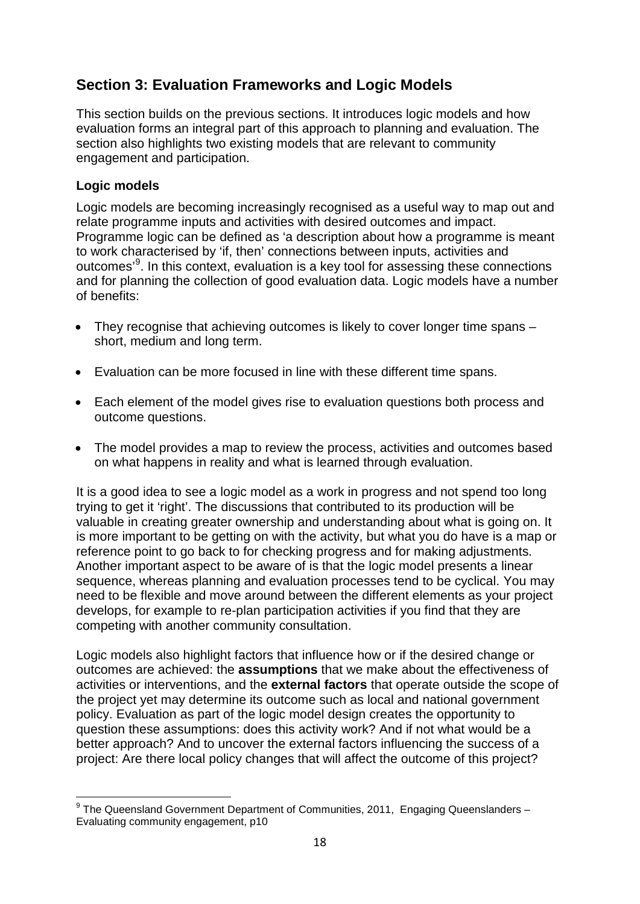# <span id="page-17-0"></span>**Section 3: Evaluation Frameworks and Logic Models**

This section builds on the previous sections. It introduces logic models and how evaluation forms an integral part of this approach to planning and evaluation. The section also highlights two existing models that are relevant to community engagement and participation.

#### <span id="page-17-1"></span>**Logic models**

Logic models are becoming increasingly recognised as a useful way to map out and relate programme inputs and activities with desired outcomes and impact. Programme logic can be defined as 'a description about how a programme is meant to work characterised by 'if, then' connections between inputs, activities and outcomes'<sup>[9](#page-17-2)</sup>. In this context, evaluation is a key tool for assessing these connections and for planning the collection of good evaluation data. Logic models have a number of benefits:

- They recognise that achieving outcomes is likely to cover longer time spans short, medium and long term.
- Evaluation can be more focused in line with these different time spans.
- Each element of the model gives rise to evaluation questions both process and outcome questions.
- The model provides a map to review the process, activities and outcomes based on what happens in reality and what is learned through evaluation.

It is a good idea to see a logic model as a work in progress and not spend too long trying to get it 'right'. The discussions that contributed to its production will be valuable in creating greater ownership and understanding about what is going on. It is more important to be getting on with the activity, but what you do have is a map or reference point to go back to for checking progress and for making adjustments. Another important aspect to be aware of is that the logic model presents a linear sequence, whereas planning and evaluation processes tend to be cyclical. You may need to be flexible and move around between the different elements as your project develops, for example to re-plan participation activities if you find that they are competing with another community consultation.

Logic models also highlight factors that influence how or if the desired change or outcomes are achieved: the **assumptions** that we make about the effectiveness of activities or interventions, and the **external factors** that operate outside the scope of the project yet may determine its outcome such as local and national government policy. Evaluation as part of the logic model design creates the opportunity to question these assumptions: does this activity work? And if not what would be a better approach? And to uncover the external factors influencing the success of a project: Are there local policy changes that will affect the outcome of this project?

<span id="page-17-2"></span> $^9$  The Queensland Government Department of Communities, 2011, Engaging Queenslanders -Evaluating community engagement, p10 -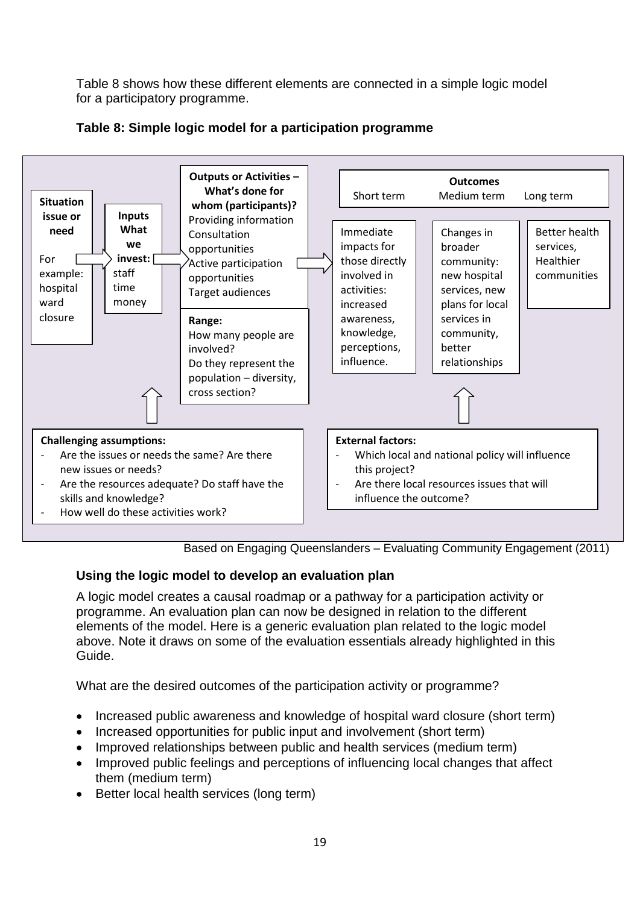Table 8 shows how these different elements are connected in a simple logic model for a participatory programme.



## **Table 8: Simple logic model for a participation programme**

Based on Engaging Queenslanders – Evaluating Community Engagement (2011)

## <span id="page-18-0"></span>**Using the logic model to develop an evaluation plan**

A logic model creates a causal roadmap or a pathway for a participation activity or programme. An evaluation plan can now be designed in relation to the different elements of the model. Here is a generic evaluation plan related to the logic model above. Note it draws on some of the evaluation essentials already highlighted in this Guide.

What are the desired outcomes of the participation activity or programme?

- Increased public awareness and knowledge of hospital ward closure (short term)
- Increased opportunities for public input and involvement (short term)
- Improved relationships between public and health services (medium term)
- Improved public feelings and perceptions of influencing local changes that affect them (medium term)
- Better local health services (long term)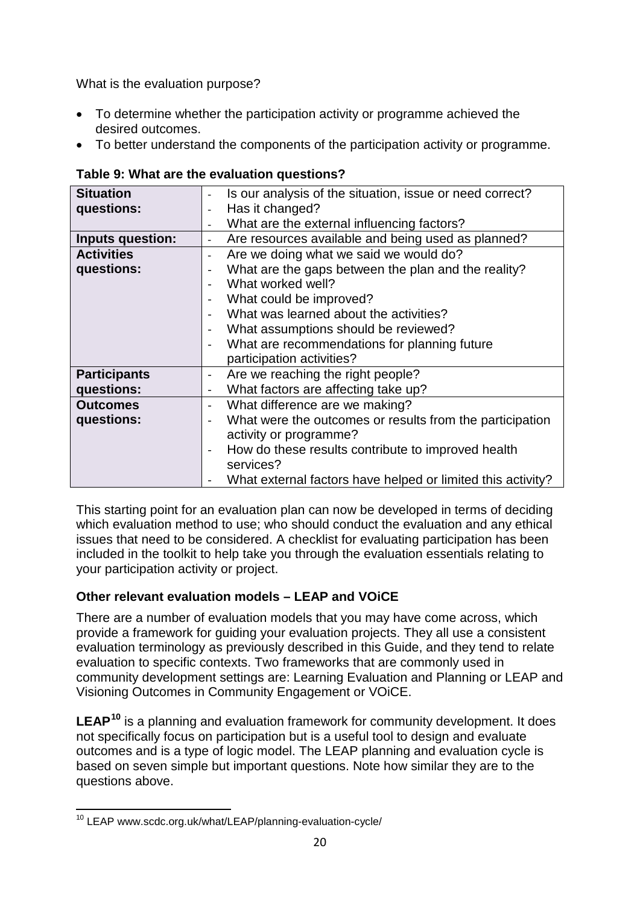What is the evaluation purpose?

- To determine whether the participation activity or programme achieved the desired outcomes.
- To better understand the components of the participation activity or programme.

| <b>Situation</b>    | Is our analysis of the situation, issue or need correct?                       |
|---------------------|--------------------------------------------------------------------------------|
| questions:          | Has it changed?                                                                |
|                     | What are the external influencing factors?                                     |
| Inputs question:    | Are resources available and being used as planned?<br>$\overline{\phantom{0}}$ |
| <b>Activities</b>   | Are we doing what we said we would do?<br>$\overline{\phantom{0}}$             |
| questions:          | What are the gaps between the plan and the reality?                            |
|                     | What worked well?                                                              |
|                     | What could be improved?                                                        |
|                     | What was learned about the activities?                                         |
|                     | What assumptions should be reviewed?<br>-                                      |
|                     | What are recommendations for planning future                                   |
|                     | participation activities?                                                      |
| <b>Participants</b> | Are we reaching the right people?<br>-                                         |
| questions:          | What factors are affecting take up?                                            |
| <b>Outcomes</b>     | What difference are we making?                                                 |
| questions:          | What were the outcomes or results from the participation                       |
|                     | activity or programme?                                                         |
|                     | How do these results contribute to improved health                             |
|                     | services?                                                                      |
|                     | What external factors have helped or limited this activity?                    |

#### **Table 9: What are the evaluation questions?**

This starting point for an evaluation plan can now be developed in terms of deciding which evaluation method to use; who should conduct the evaluation and any ethical issues that need to be considered. A checklist for evaluating participation has been included in the toolkit to help take you through the evaluation essentials relating to your participation activity or project.

## <span id="page-19-0"></span>**Other relevant evaluation models – LEAP and VOiCE**

There are a number of evaluation models that you may have come across, which provide a framework for guiding your evaluation projects. They all use a consistent evaluation terminology as previously described in this Guide, and they tend to relate evaluation to specific contexts. Two frameworks that are commonly used in community development settings are: Learning Evaluation and Planning or LEAP and Visioning Outcomes in Community Engagement or VOiCE.

**LEAP[10](#page-19-1)** is a planning and evaluation framework for community development. It does not specifically focus on participation but is a useful tool to design and evaluate outcomes and is a type of logic model. The LEAP planning and evaluation cycle is based on seven simple but important questions. Note how similar they are to the questions above.

<span id="page-19-1"></span><sup>&</sup>lt;sup>10</sup> LEAP www.scdc.org.uk/what/LEAP/planning-evaluation-cycle/  $\overline{\phantom{a}}$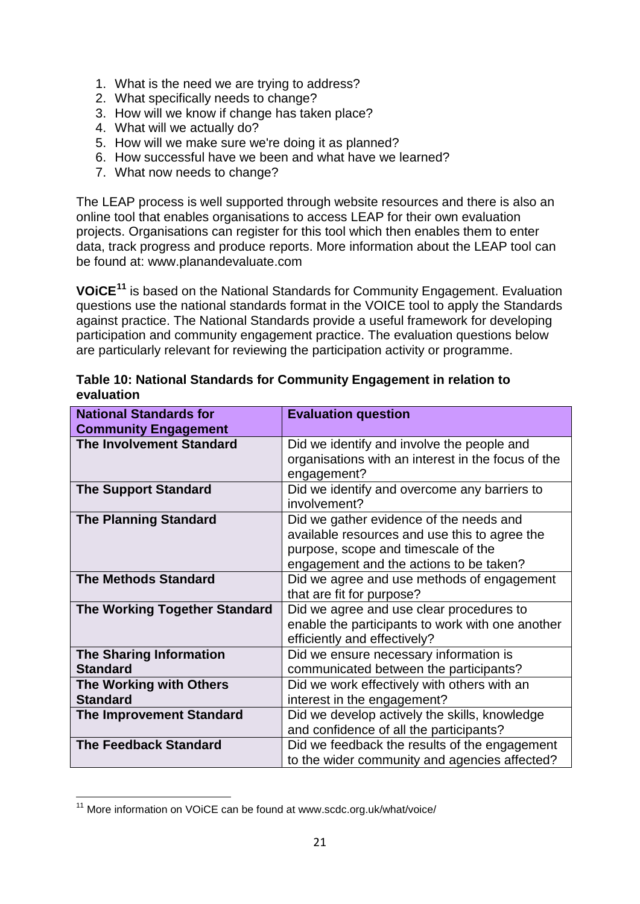- 1. What is the need we are trying to address?
- 2. What specifically needs to change?
- 3. How will we know if change has taken place?
- 4. What will we actually do?
- 5. How will we make sure we're doing it as planned?
- 6. How successful have we been and what have we learned?
- 7. What now needs to change?

The LEAP process is well supported through website resources and there is also an online tool that enables organisations to access LEAP for their own evaluation projects. Organisations can register for this tool which then enables them to enter data, track progress and produce reports. More information about the LEAP tool can be found at: www.planandevaluate.com

**VOiCE[11](#page-20-0)** is based on the National Standards for Community Engagement. Evaluation questions use the national standards format in the VOICE tool to apply the Standards against practice. The National Standards provide a useful framework for developing participation and community engagement practice. The evaluation questions below are particularly relevant for reviewing the participation activity or programme.

| <b>National Standards for</b><br><b>Community Engagement</b> | <b>Evaluation question</b>                                                                       |
|--------------------------------------------------------------|--------------------------------------------------------------------------------------------------|
| <b>The Involvement Standard</b>                              | Did we identify and involve the people and<br>organisations with an interest in the focus of the |
|                                                              | engagement?                                                                                      |
| <b>The Support Standard</b>                                  | Did we identify and overcome any barriers to<br>involvement?                                     |
| <b>The Planning Standard</b>                                 | Did we gather evidence of the needs and                                                          |
|                                                              | available resources and use this to agree the                                                    |
|                                                              | purpose, scope and timescale of the                                                              |
|                                                              | engagement and the actions to be taken?                                                          |
| <b>The Methods Standard</b>                                  | Did we agree and use methods of engagement                                                       |
|                                                              | that are fit for purpose?                                                                        |
| The Working Together Standard                                | Did we agree and use clear procedures to                                                         |
|                                                              | enable the participants to work with one another                                                 |
|                                                              | efficiently and effectively?                                                                     |
| <b>The Sharing Information</b>                               | Did we ensure necessary information is                                                           |
| <b>Standard</b>                                              | communicated between the participants?                                                           |
| <b>The Working with Others</b>                               | Did we work effectively with others with an                                                      |
| <b>Standard</b>                                              | interest in the engagement?                                                                      |
| <b>The Improvement Standard</b>                              | Did we develop actively the skills, knowledge                                                    |
|                                                              | and confidence of all the participants?                                                          |
| <b>The Feedback Standard</b>                                 | Did we feedback the results of the engagement                                                    |
|                                                              | to the wider community and agencies affected?                                                    |

**Table 10: National Standards for Community Engagement in relation to evaluation**

<span id="page-20-0"></span><sup>&</sup>lt;sup>11</sup> More information on VOICE can be found at www.scdc.org.uk/what/voice/ -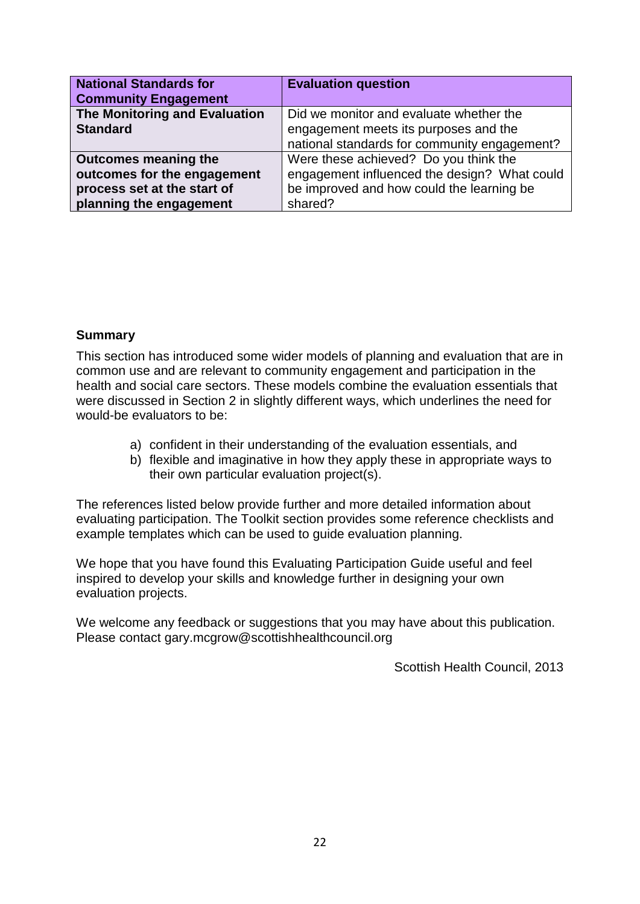| <b>National Standards for</b><br><b>Community Engagement</b> | <b>Evaluation question</b>                   |  |  |
|--------------------------------------------------------------|----------------------------------------------|--|--|
| The Monitoring and Evaluation                                | Did we monitor and evaluate whether the      |  |  |
| <b>Standard</b>                                              | engagement meets its purposes and the        |  |  |
|                                                              | national standards for community engagement? |  |  |
| <b>Outcomes meaning the</b>                                  | Were these achieved? Do you think the        |  |  |
| outcomes for the engagement                                  | engagement influenced the design? What could |  |  |
| process set at the start of                                  | be improved and how could the learning be    |  |  |
| planning the engagement                                      | shared?                                      |  |  |

#### <span id="page-21-0"></span>**Summary**

This section has introduced some wider models of planning and evaluation that are in common use and are relevant to community engagement and participation in the health and social care sectors. These models combine the evaluation essentials that were discussed in Section 2 in slightly different ways, which underlines the need for would-be evaluators to be:

- a) confident in their understanding of the evaluation essentials, and
- b) flexible and imaginative in how they apply these in appropriate ways to their own particular evaluation project(s).

The references listed below provide further and more detailed information about evaluating participation. The Toolkit section provides some reference checklists and example templates which can be used to guide evaluation planning.

We hope that you have found this Evaluating Participation Guide useful and feel inspired to develop your skills and knowledge further in designing your own evaluation projects.

We welcome any feedback or suggestions that you may have about this publication. Please contact gary.mcgrow@scottishhealthcouncil.org

Scottish Health Council, 2013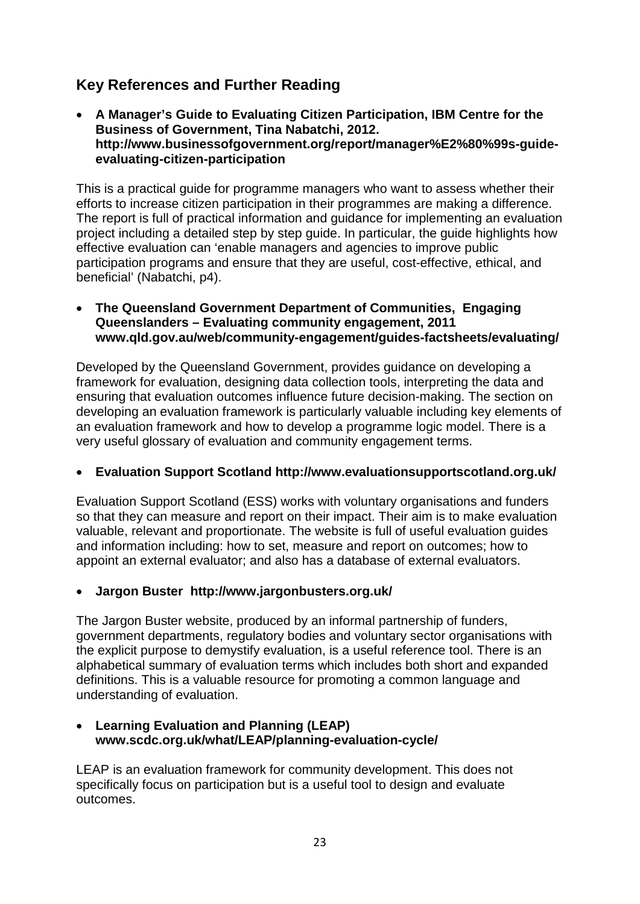# <span id="page-22-0"></span>**Key References and Further Reading**

• **A Manager's Guide to Evaluating Citizen Participation, IBM Centre for the Business of Government, Tina Nabatchi, 2012. http://www.businessofgovernment.org/report/manager%E2%80%99s-guideevaluating-citizen-participation**

This is a practical guide for programme managers who want to assess whether their efforts to increase citizen participation in their programmes are making a difference. The report is full of practical information and guidance for implementing an evaluation project including a detailed step by step guide. In particular, the guide highlights how effective evaluation can 'enable managers and agencies to improve public participation programs and ensure that they are useful, cost-effective, ethical, and beneficial' (Nabatchi, p4).

• **The Queensland Government Department of Communities, Engaging Queenslanders – Evaluating community engagement, 2011 www.qld.gov.au/web/community-engagement/guides-factsheets/evaluating/**

Developed by the Queensland Government, provides guidance on developing a framework for evaluation, designing data collection tools, interpreting the data and ensuring that evaluation outcomes influence future decision-making. The section on developing an evaluation framework is particularly valuable including key elements of an evaluation framework and how to develop a programme logic model. There is a very useful glossary of evaluation and community engagement terms.

#### • **Evaluation Support Scotland http://www.evaluationsupportscotland.org.uk/**

Evaluation Support Scotland (ESS) works with voluntary organisations and funders so that they can measure and report on their impact. Their aim is to make evaluation valuable, relevant and proportionate. The website is full of useful evaluation guides and information including: how to set, measure and report on outcomes; how to appoint an external evaluator; and also has a database of external evaluators.

#### • **Jargon Buster http://www.jargonbusters.org.uk/**

The Jargon Buster website, produced by an informal partnership of funders, government departments, regulatory bodies and voluntary sector organisations with the explicit purpose to demystify evaluation, is a useful reference tool. There is an alphabetical summary of evaluation terms which includes both short and expanded definitions. This is a valuable resource for promoting a common language and understanding of evaluation.

#### • **Learning Evaluation and Planning (LEAP) www.scdc.org.uk/what/LEAP/planning-evaluation-cycle/**

LEAP is an evaluation framework for community development. This does not specifically focus on participation but is a useful tool to design and evaluate outcomes.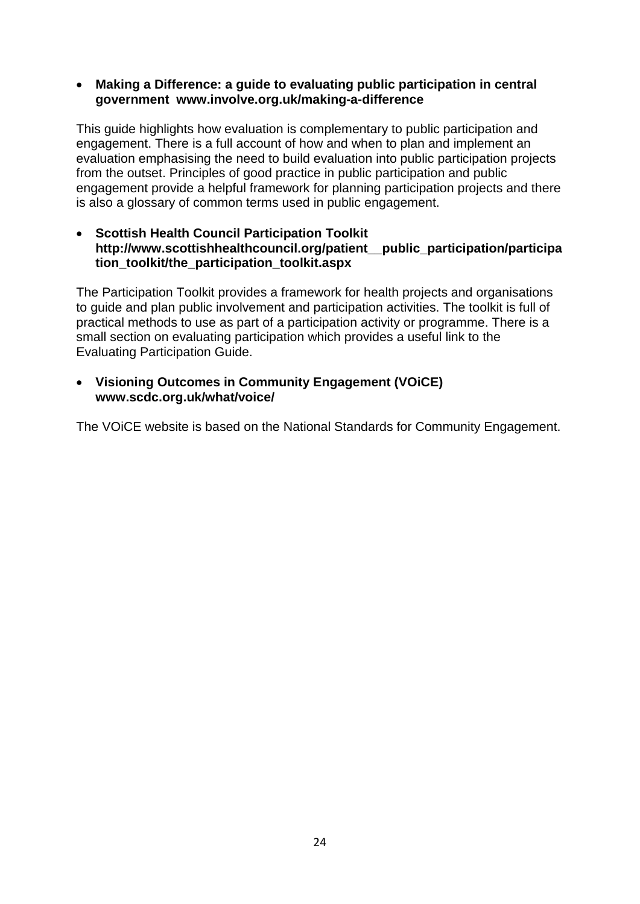#### • **Making a Difference: a guide to evaluating public participation in central government www.involve.org.uk/making-a-difference**

This guide highlights how evaluation is complementary to public participation and engagement. There is a full account of how and when to plan and implement an evaluation emphasising the need to build evaluation into public participation projects from the outset. Principles of good practice in public participation and public engagement provide a helpful framework for planning participation projects and there is also a glossary of common terms used in public engagement.

#### • **Scottish Health Council Participation Toolkit http://www.scottishhealthcouncil.org/patient\_\_public\_participation/participa tion\_toolkit/the\_participation\_toolkit.aspx**

The Participation Toolkit provides a framework for health projects and organisations to guide and plan public involvement and participation activities. The toolkit is full of practical methods to use as part of a participation activity or programme. There is a small section on evaluating participation which provides a useful link to the Evaluating Participation Guide.

• **Visioning Outcomes in Community Engagement (VOiCE) www.scdc.org.uk/what/voice/**

The VOiCE website is based on the National Standards for Community Engagement.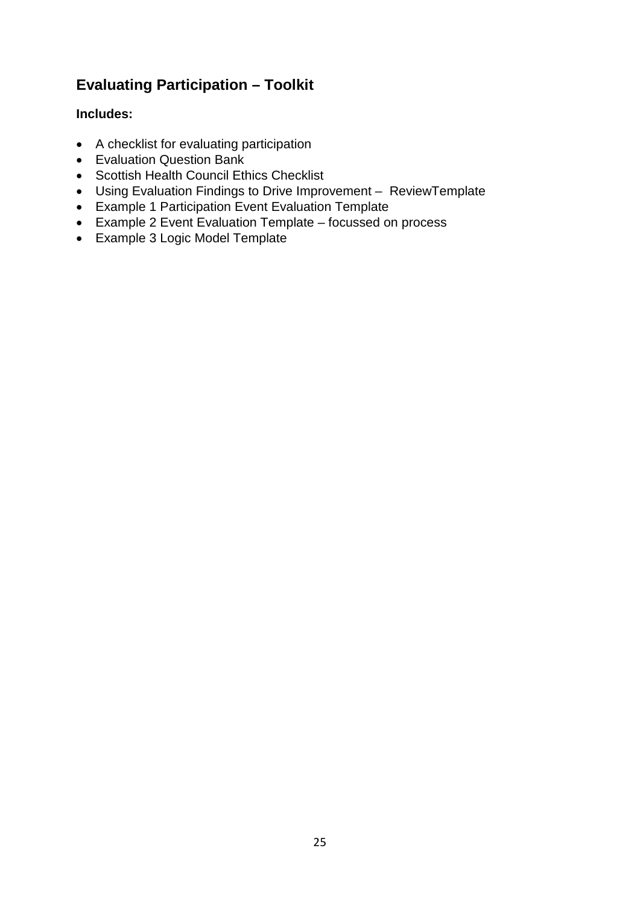# <span id="page-24-0"></span>**Evaluating Participation – Toolkit**

#### **Includes:**

- A checklist for evaluating participation
- Evaluation Question Bank
- Scottish Health Council Ethics Checklist
- Using Evaluation Findings to Drive Improvement ReviewTemplate
- Example 1 Participation Event Evaluation Template
- Example 2 Event Evaluation Template focussed on process
- Example 3 Logic Model Template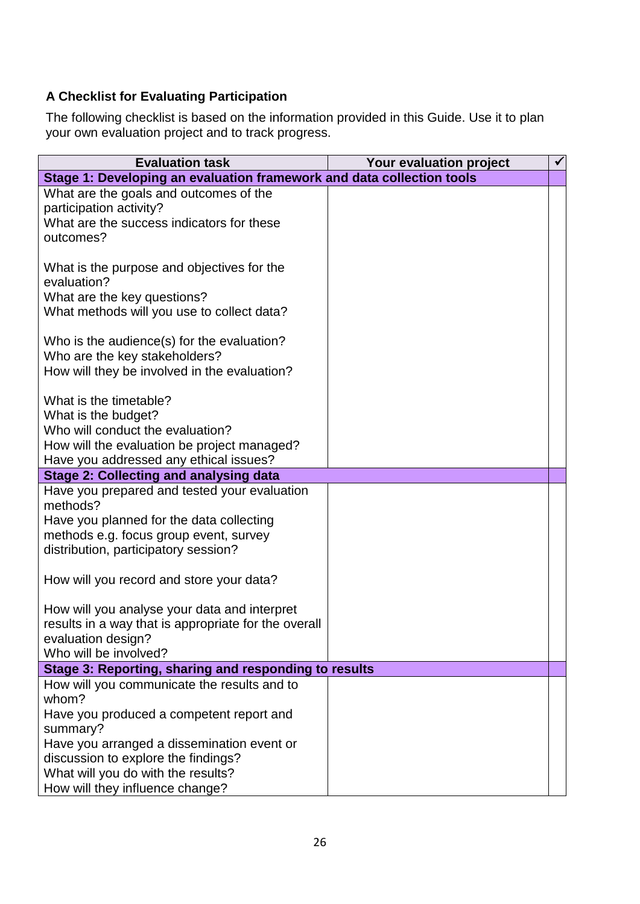# <span id="page-25-0"></span>**A Checklist for Evaluating Participation**

The following checklist is based on the information provided in this Guide. Use it to plan your own evaluation project and to track progress.

| <b>Evaluation task</b>                                                                                                                                                                 | Your evaluation project |  |
|----------------------------------------------------------------------------------------------------------------------------------------------------------------------------------------|-------------------------|--|
| Stage 1: Developing an evaluation framework and data collection tools                                                                                                                  |                         |  |
| What are the goals and outcomes of the<br>participation activity?<br>What are the success indicators for these<br>outcomes?                                                            |                         |  |
| What is the purpose and objectives for the<br>evaluation?<br>What are the key questions?<br>What methods will you use to collect data?                                                 |                         |  |
| Who is the audience(s) for the evaluation?<br>Who are the key stakeholders?<br>How will they be involved in the evaluation?                                                            |                         |  |
| What is the timetable?<br>What is the budget?<br>Who will conduct the evaluation?<br>How will the evaluation be project managed?<br>Have you addressed any ethical issues?             |                         |  |
| <b>Stage 2: Collecting and analysing data</b>                                                                                                                                          |                         |  |
| Have you prepared and tested your evaluation<br>methods?<br>Have you planned for the data collecting<br>methods e.g. focus group event, survey<br>distribution, participatory session? |                         |  |
| How will you record and store your data?                                                                                                                                               |                         |  |
| How will you analyse your data and interpret<br>results in a way that is appropriate for the overall<br>evaluation design?<br>Who will be involved?                                    |                         |  |
| Stage 3: Reporting, sharing and responding to results                                                                                                                                  |                         |  |
| How will you communicate the results and to<br>whom?<br>Have you produced a competent report and                                                                                       |                         |  |
| summary?                                                                                                                                                                               |                         |  |
| Have you arranged a dissemination event or                                                                                                                                             |                         |  |
| discussion to explore the findings?                                                                                                                                                    |                         |  |
| What will you do with the results?<br>How will they influence change?                                                                                                                  |                         |  |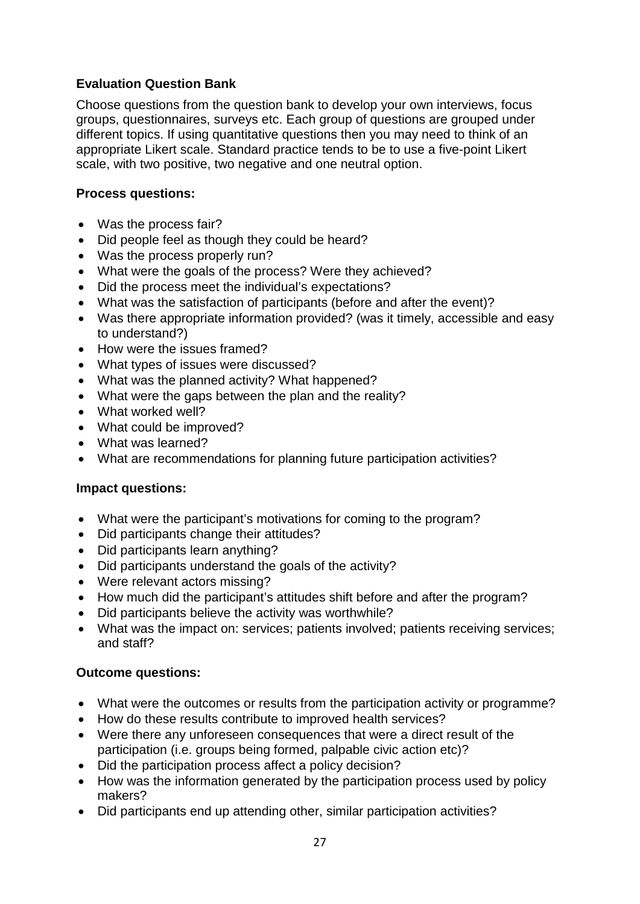## <span id="page-26-0"></span>**Evaluation Question Bank**

Choose questions from the question bank to develop your own interviews, focus groups, questionnaires, surveys etc. Each group of questions are grouped under different topics. If using quantitative questions then you may need to think of an appropriate Likert scale. Standard practice tends to be to use a five-point Likert scale, with two positive, two negative and one neutral option.

#### **Process questions:**

- Was the process fair?
- Did people feel as though they could be heard?
- Was the process properly run?
- What were the goals of the process? Were they achieved?
- Did the process meet the individual's expectations?
- What was the satisfaction of participants (before and after the event)?
- Was there appropriate information provided? (was it timely, accessible and easy to understand?)
- How were the issues framed?
- What types of issues were discussed?
- What was the planned activity? What happened?
- What were the gaps between the plan and the reality?
- What worked well?
- What could be improved?
- What was learned?
- What are recommendations for planning future participation activities?

#### **Impact questions:**

- What were the participant's motivations for coming to the program?
- Did participants change their attitudes?
- Did participants learn anything?
- Did participants understand the goals of the activity?
- Were relevant actors missing?
- How much did the participant's attitudes shift before and after the program?
- Did participants believe the activity was worthwhile?
- What was the impact on: services; patients involved; patients receiving services; and staff?

#### **Outcome questions:**

- What were the outcomes or results from the participation activity or programme?
- How do these results contribute to improved health services?
- Were there any unforeseen consequences that were a direct result of the participation (i.e. groups being formed, palpable civic action etc)?
- Did the participation process affect a policy decision?
- How was the information generated by the participation process used by policy makers?
- Did participants end up attending other, similar participation activities?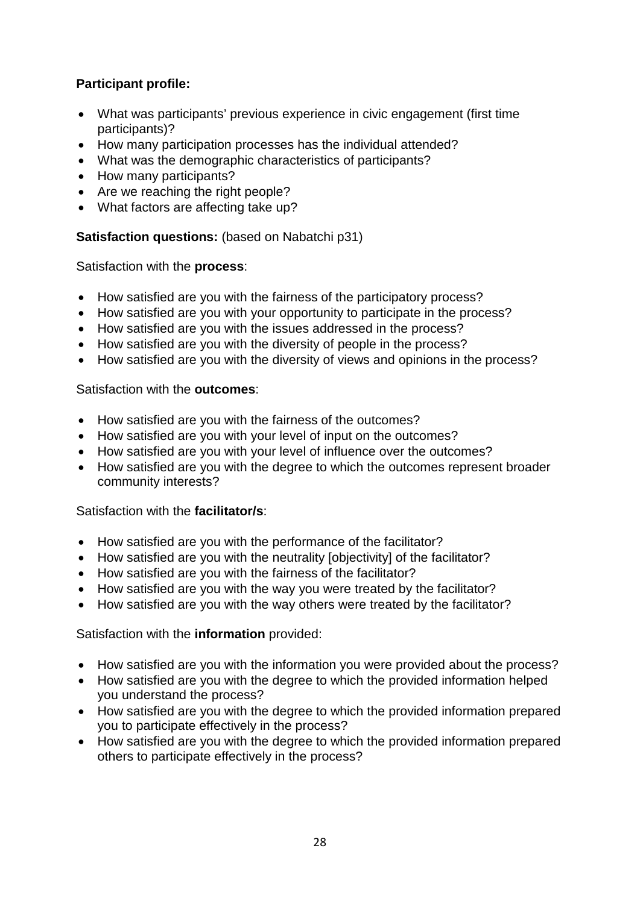## **Participant profile:**

- What was participants' previous experience in civic engagement (first time participants)?
- How many participation processes has the individual attended?
- What was the demographic characteristics of participants?
- How many participants?
- Are we reaching the right people?
- What factors are affecting take up?

## **Satisfaction questions:** (based on Nabatchi p31)

#### Satisfaction with the **process**:

- How satisfied are you with the fairness of the participatory process?
- How satisfied are you with your opportunity to participate in the process?
- How satisfied are you with the issues addressed in the process?
- How satisfied are you with the diversity of people in the process?
- How satisfied are you with the diversity of views and opinions in the process?

#### Satisfaction with the **outcomes**:

- How satisfied are you with the fairness of the outcomes?
- How satisfied are you with your level of input on the outcomes?
- How satisfied are you with your level of influence over the outcomes?
- How satisfied are you with the degree to which the outcomes represent broader community interests?

#### Satisfaction with the **facilitator/s**:

- How satisfied are you with the performance of the facilitator?
- How satisfied are you with the neutrality [objectivity] of the facilitator?
- How satisfied are you with the fairness of the facilitator?
- How satisfied are you with the way you were treated by the facilitator?
- How satisfied are you with the way others were treated by the facilitator?

#### Satisfaction with the **information** provided:

- How satisfied are you with the information you were provided about the process?
- How satisfied are you with the degree to which the provided information helped you understand the process?
- How satisfied are you with the degree to which the provided information prepared you to participate effectively in the process?
- How satisfied are you with the degree to which the provided information prepared others to participate effectively in the process?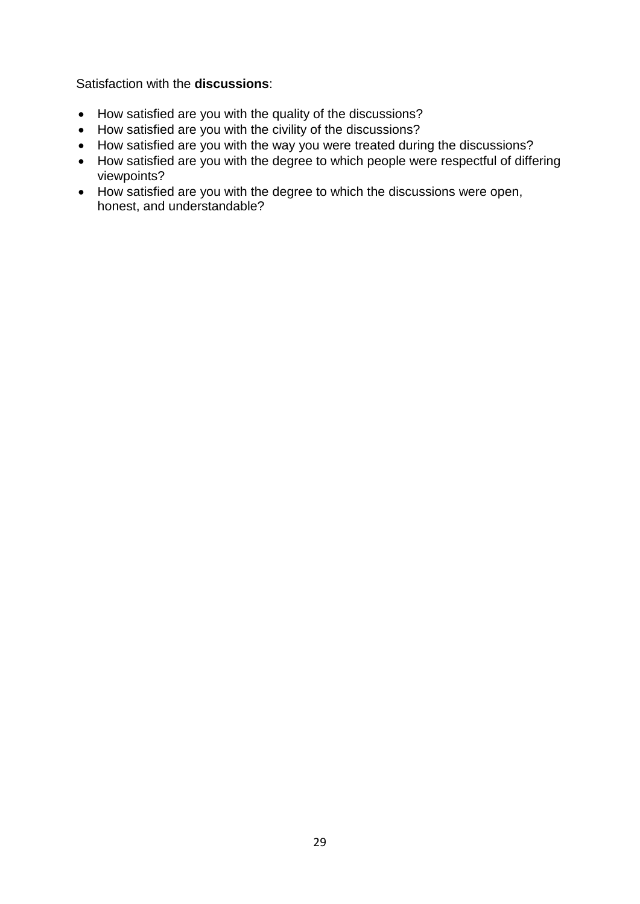Satisfaction with the **discussions**:

- How satisfied are you with the quality of the discussions?
- How satisfied are you with the civility of the discussions?
- How satisfied are you with the way you were treated during the discussions?
- How satisfied are you with the degree to which people were respectful of differing viewpoints?
- How satisfied are you with the degree to which the discussions were open, honest, and understandable?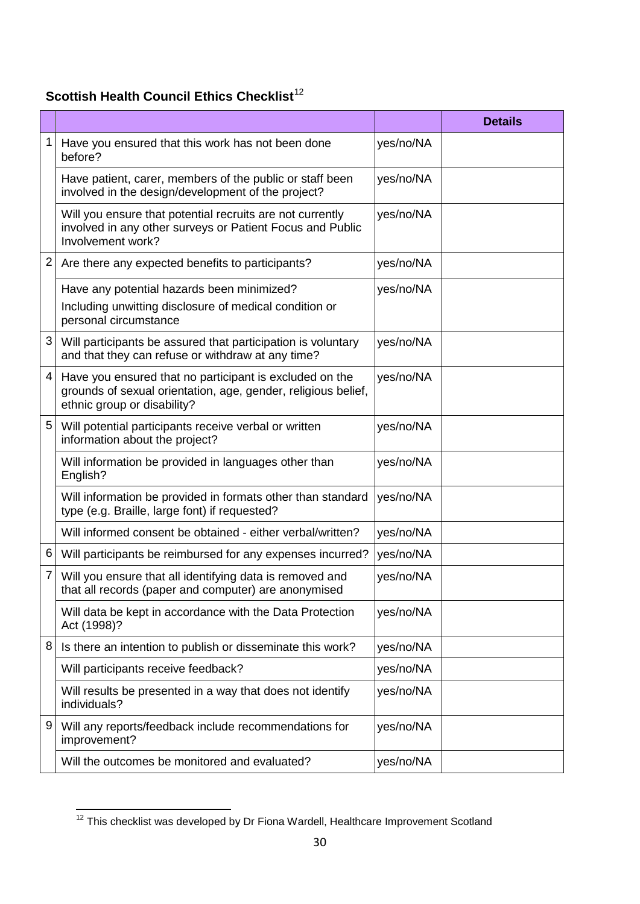# <span id="page-29-0"></span>**Scottish Health Council Ethics Checklist**<sup>[12](#page-29-1)</sup>

|   |                                                                                                                                                         |           | <b>Details</b> |
|---|---------------------------------------------------------------------------------------------------------------------------------------------------------|-----------|----------------|
| 1 | Have you ensured that this work has not been done<br>before?                                                                                            | yes/no/NA |                |
|   | Have patient, carer, members of the public or staff been<br>involved in the design/development of the project?                                          | yes/no/NA |                |
|   | Will you ensure that potential recruits are not currently<br>involved in any other surveys or Patient Focus and Public<br>Involvement work?             | yes/no/NA |                |
| 2 | Are there any expected benefits to participants?                                                                                                        | yes/no/NA |                |
|   | Have any potential hazards been minimized?<br>Including unwitting disclosure of medical condition or<br>personal circumstance                           | yes/no/NA |                |
| 3 | Will participants be assured that participation is voluntary<br>and that they can refuse or withdraw at any time?                                       | yes/no/NA |                |
| 4 | Have you ensured that no participant is excluded on the<br>grounds of sexual orientation, age, gender, religious belief,<br>ethnic group or disability? | yes/no/NA |                |
| 5 | Will potential participants receive verbal or written<br>information about the project?                                                                 | yes/no/NA |                |
|   | Will information be provided in languages other than<br>English?                                                                                        | yes/no/NA |                |
|   | Will information be provided in formats other than standard<br>type (e.g. Braille, large font) if requested?                                            | yes/no/NA |                |
|   | Will informed consent be obtained - either verbal/written?                                                                                              | yes/no/NA |                |
| 6 | Will participants be reimbursed for any expenses incurred?                                                                                              | yes/no/NA |                |
| 7 | Will you ensure that all identifying data is removed and<br>that all records (paper and computer) are anonymised                                        | yes/no/NA |                |
|   | Will data be kept in accordance with the Data Protection<br>Act (1998)?                                                                                 | yes/no/NA |                |
| 8 | Is there an intention to publish or disseminate this work?                                                                                              | yes/no/NA |                |
|   | Will participants receive feedback?                                                                                                                     | yes/no/NA |                |
|   | Will results be presented in a way that does not identify<br>individuals?                                                                               | yes/no/NA |                |
| 9 | Will any reports/feedback include recommendations for<br>improvement?                                                                                   | yes/no/NA |                |
|   | Will the outcomes be monitored and evaluated?                                                                                                           | yes/no/NA |                |

<span id="page-29-1"></span> $12$  This checklist was developed by Dr Fiona Wardell, Healthcare Improvement Scotland  $\overline{\phantom{a}}$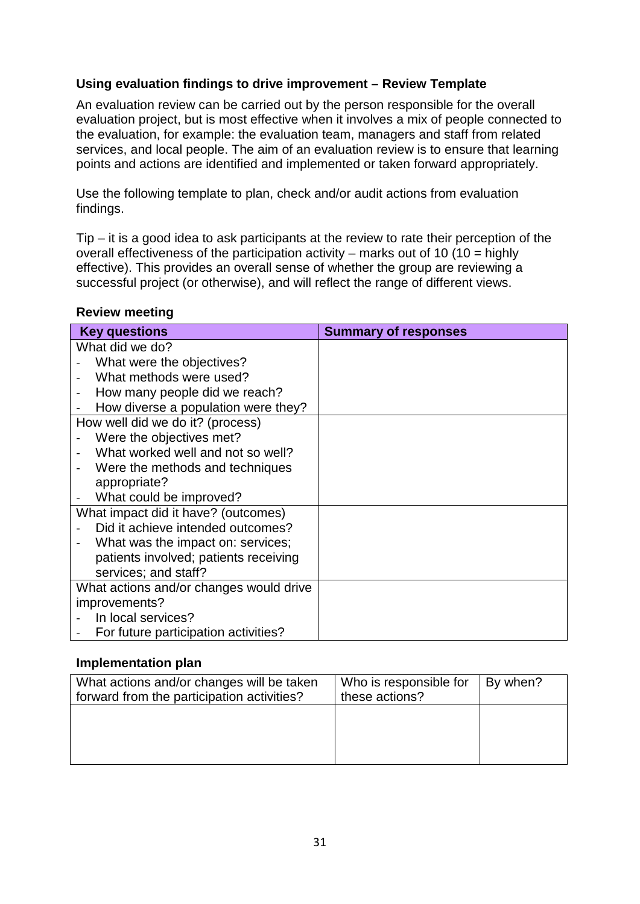#### <span id="page-30-0"></span>**Using evaluation findings to drive improvement – Review Template**

An evaluation review can be carried out by the person responsible for the overall evaluation project, but is most effective when it involves a mix of people connected to the evaluation, for example: the evaluation team, managers and staff from related services, and local people. The aim of an evaluation review is to ensure that learning points and actions are identified and implemented or taken forward appropriately.

Use the following template to plan, check and/or audit actions from evaluation findings.

Tip – it is a good idea to ask participants at the review to rate their perception of the overall effectiveness of the participation activity – marks out of 10 (10 = highly effective). This provides an overall sense of whether the group are reviewing a successful project (or otherwise), and will reflect the range of different views.

#### **Review meeting**

| <b>Key questions</b>                    | <b>Summary of responses</b> |
|-----------------------------------------|-----------------------------|
| What did we do?                         |                             |
| What were the objectives?               |                             |
| What methods were used?                 |                             |
| How many people did we reach?           |                             |
| How diverse a population were they?     |                             |
| How well did we do it? (process)        |                             |
| Were the objectives met?                |                             |
| What worked well and not so well?       |                             |
| Were the methods and techniques         |                             |
| appropriate?                            |                             |
| What could be improved?                 |                             |
| What impact did it have? (outcomes)     |                             |
| Did it achieve intended outcomes?       |                             |
| What was the impact on: services;       |                             |
| patients involved; patients receiving   |                             |
| services; and staff?                    |                             |
| What actions and/or changes would drive |                             |
| improvements?                           |                             |
| In local services?                      |                             |
| For future participation activities?    |                             |

#### **Implementation plan**

| What actions and/or changes will be taken<br>forward from the participation activities? | Who is responsible for<br>these actions? | By when? |
|-----------------------------------------------------------------------------------------|------------------------------------------|----------|
|                                                                                         |                                          |          |
|                                                                                         |                                          |          |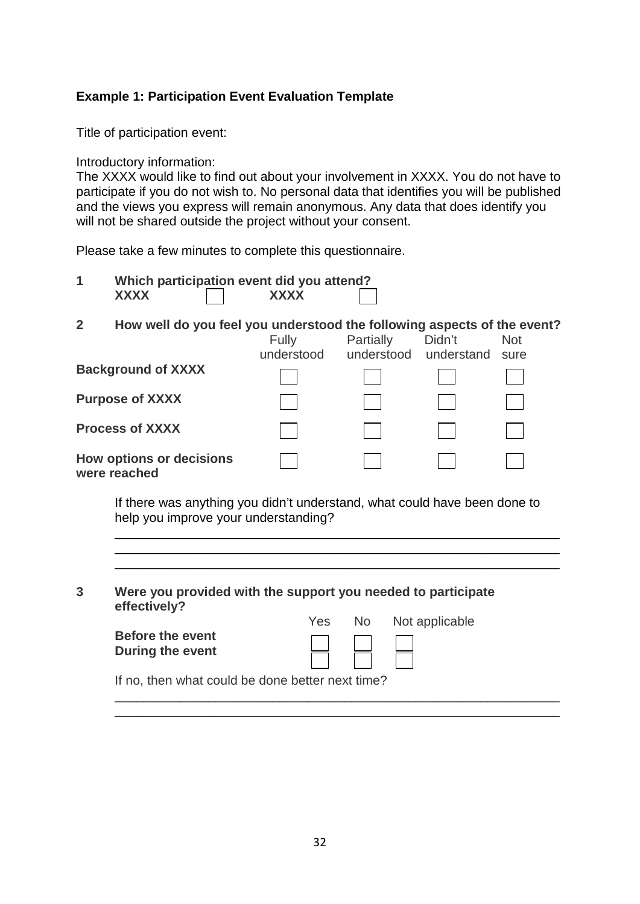#### <span id="page-31-0"></span>**Example 1: Participation Event Evaluation Template**

Title of participation event:

Introductory information:

The XXXX would like to find out about your involvement in XXXX. You do not have to participate if you do not wish to. No personal data that identifies you will be published and the views you express will remain anonymous. Any data that does identify you will not be shared outside the project without your consent.

Please take a few minutes to complete this questionnaire.

- **1** Which participation event did you attend?<br>XXXX 7 XXXX 7 XXXX **XXXX XXXX**
- **2** How well do you feel you understood the following aspects of the event?<br>**Partially Didn't** Mot

|                                                 | Fully<br>understood | Partially | Didn't<br>understood understand | <b>Not</b><br>sure |  |
|-------------------------------------------------|---------------------|-----------|---------------------------------|--------------------|--|
| <b>Background of XXXX</b>                       |                     |           |                                 |                    |  |
| <b>Purpose of XXXX</b>                          |                     |           |                                 |                    |  |
| <b>Process of XXXX</b>                          |                     |           |                                 |                    |  |
| <b>How options or decisions</b><br>were reached |                     |           |                                 |                    |  |

If there was anything you didn't understand, what could have been done to help you improve your understanding?

\_\_\_\_\_\_\_\_\_\_\_\_\_\_\_\_\_\_\_\_\_\_\_\_\_\_\_\_\_\_\_\_\_\_\_\_\_\_\_\_\_\_\_\_\_\_\_\_\_\_\_\_\_\_\_\_\_\_\_\_\_\_

\_\_\_\_\_\_\_\_\_\_\_\_\_\_\_\_\_\_\_\_\_\_\_\_\_\_\_\_\_\_\_\_\_\_\_\_\_\_\_\_\_\_\_\_\_\_\_\_\_\_\_\_\_\_\_\_\_\_\_\_\_\_

\_\_\_\_\_\_\_\_\_\_\_\_\_\_\_\_\_\_\_\_\_\_\_\_\_\_\_\_\_\_\_\_\_\_\_\_\_\_\_\_\_\_\_\_\_\_\_\_\_\_\_\_\_\_\_\_\_\_\_\_\_\_

**3 Were you provided with the support you needed to participate effectively?** 

|                                                  |  | Yes No Not applicable |  |
|--------------------------------------------------|--|-----------------------|--|
| <b>Before the event</b><br>During the event      |  |                       |  |
| If no, then what could be done better next time? |  |                       |  |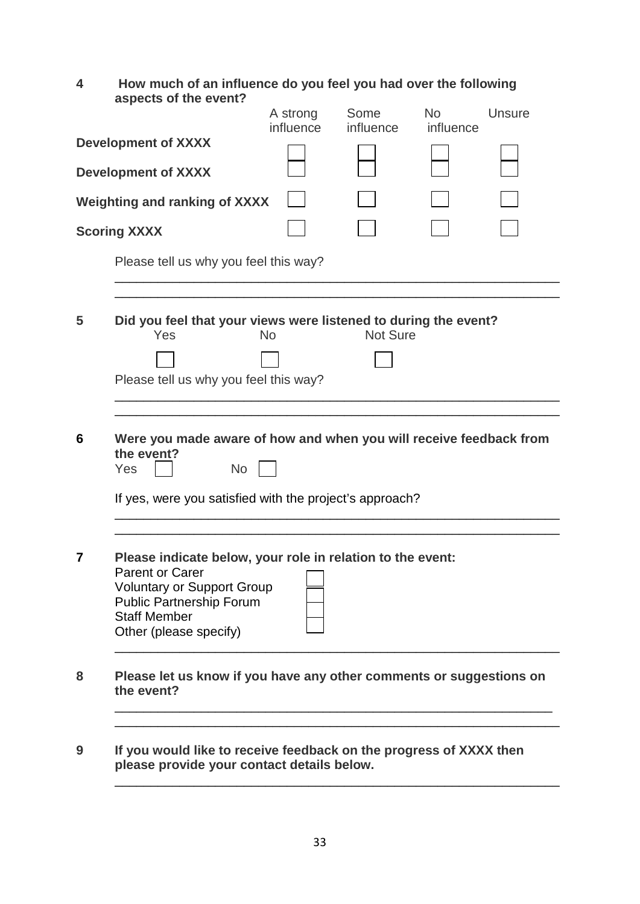| 4 | How much of an influence do you feel you had over the following<br>aspects of the event?                         |                       |                   |                        |               |  |
|---|------------------------------------------------------------------------------------------------------------------|-----------------------|-------------------|------------------------|---------------|--|
|   |                                                                                                                  | A strong<br>influence | Some<br>influence | <b>No</b><br>influence | <b>Unsure</b> |  |
|   | <b>Development of XXXX</b>                                                                                       |                       |                   |                        |               |  |
|   | <b>Development of XXXX</b>                                                                                       |                       |                   |                        |               |  |
|   | <b>Weighting and ranking of XXXX</b>                                                                             |                       |                   |                        |               |  |
|   | <b>Scoring XXXX</b>                                                                                              |                       |                   |                        |               |  |
|   | Please tell us why you feel this way?                                                                            |                       |                   |                        |               |  |
|   |                                                                                                                  |                       |                   |                        |               |  |
| 5 | Did you feel that your views were listened to during the event?<br>Yes                                           | <b>No</b>             | <b>Not Sure</b>   |                        |               |  |
|   |                                                                                                                  |                       |                   |                        |               |  |
|   | Please tell us why you feel this way?                                                                            |                       |                   |                        |               |  |
|   |                                                                                                                  |                       |                   |                        |               |  |
| 6 | Were you made aware of how and when you will receive feedback from<br>the event?<br>Yes<br><b>No</b>             |                       |                   |                        |               |  |
|   |                                                                                                                  |                       |                   |                        |               |  |
|   | If yes, were you satisfied with the project's approach?                                                          |                       |                   |                        |               |  |
|   |                                                                                                                  |                       |                   |                        |               |  |
|   | Please indicate below, your role in relation to the event:<br><b>Parent or Carer</b>                             |                       |                   |                        |               |  |
|   | <b>Voluntary or Support Group</b><br><b>Public Partnership Forum</b>                                             |                       |                   |                        |               |  |
|   | <b>Staff Member</b><br>Other (please specify)                                                                    |                       |                   |                        |               |  |
|   |                                                                                                                  |                       |                   |                        |               |  |
| 8 | Please let us know if you have any other comments or suggestions on<br>the event?                                |                       |                   |                        |               |  |
|   |                                                                                                                  |                       |                   |                        |               |  |
| 9 | If you would like to receive feedback on the progress of XXXX then<br>please provide your contact details below. |                       |                   |                        |               |  |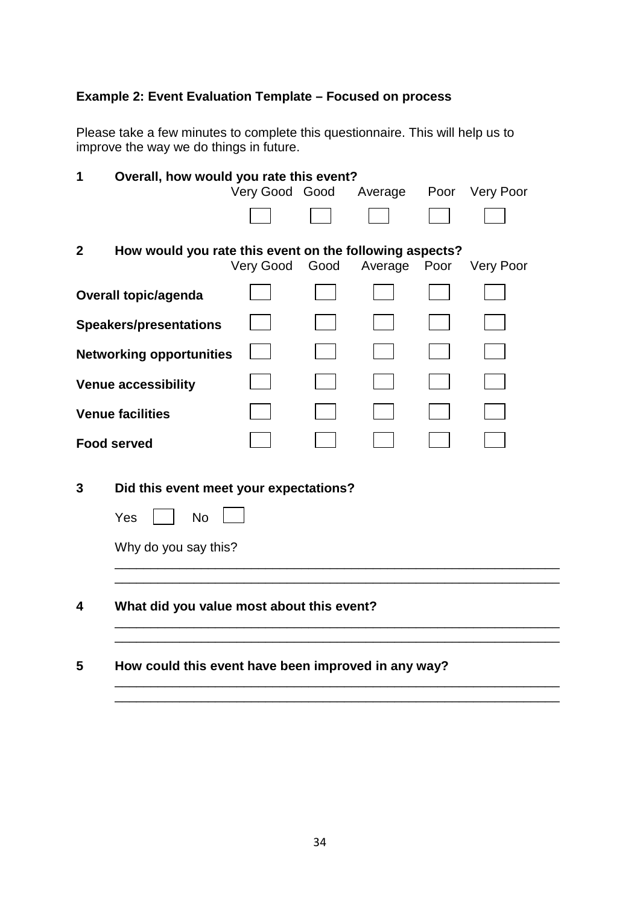# <span id="page-33-0"></span>**Example 2: Event Evaluation Template – Focused on process**

Please take a few minutes to complete this questionnaire. This will help us to improve the way we do things in future.

| 1            | Overall, how would you rate this event?                 |                |      |         |      |                  |  |  |
|--------------|---------------------------------------------------------|----------------|------|---------|------|------------------|--|--|
|              |                                                         | Very Good Good |      | Average | Poor | <b>Very Poor</b> |  |  |
|              |                                                         |                |      |         |      |                  |  |  |
| $\mathbf{2}$ | How would you rate this event on the following aspects? |                |      |         |      |                  |  |  |
|              |                                                         | Very Good      | Good | Average | Poor | Very Poor        |  |  |
|              | <b>Overall topic/agenda</b>                             |                |      |         |      |                  |  |  |
|              | <b>Speakers/presentations</b>                           |                |      |         |      |                  |  |  |
|              | <b>Networking opportunities</b>                         |                |      |         |      |                  |  |  |
|              | <b>Venue accessibility</b>                              |                |      |         |      |                  |  |  |
|              | <b>Venue facilities</b>                                 |                |      |         |      |                  |  |  |
|              | <b>Food served</b>                                      |                |      |         |      |                  |  |  |
| 3            | Did this event meet your expectations?                  |                |      |         |      |                  |  |  |
|              | Yes<br><b>No</b>                                        |                |      |         |      |                  |  |  |
|              | Why do you say this?                                    |                |      |         |      |                  |  |  |
|              |                                                         |                |      |         |      |                  |  |  |
| 4            | What did you value most about this event?               |                |      |         |      |                  |  |  |
|              |                                                         |                |      |         |      |                  |  |  |
| 5            | How could this event have been improved in any way?     |                |      |         |      |                  |  |  |

\_\_\_\_\_\_\_\_\_\_\_\_\_\_\_\_\_\_\_\_\_\_\_\_\_\_\_\_\_\_\_\_\_\_\_\_\_\_\_\_\_\_\_\_\_\_\_\_\_\_\_\_\_\_\_\_\_\_\_\_\_\_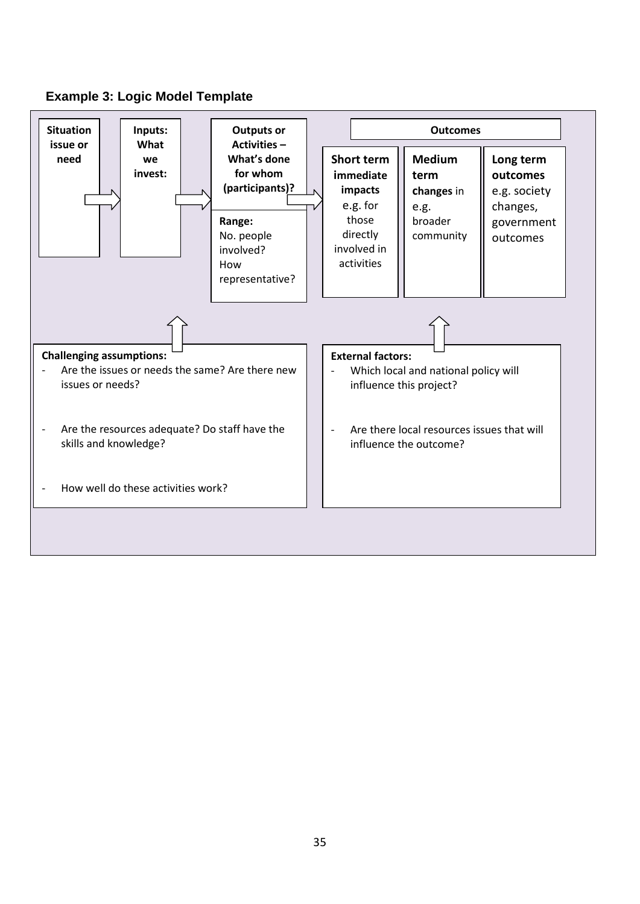<span id="page-34-0"></span>

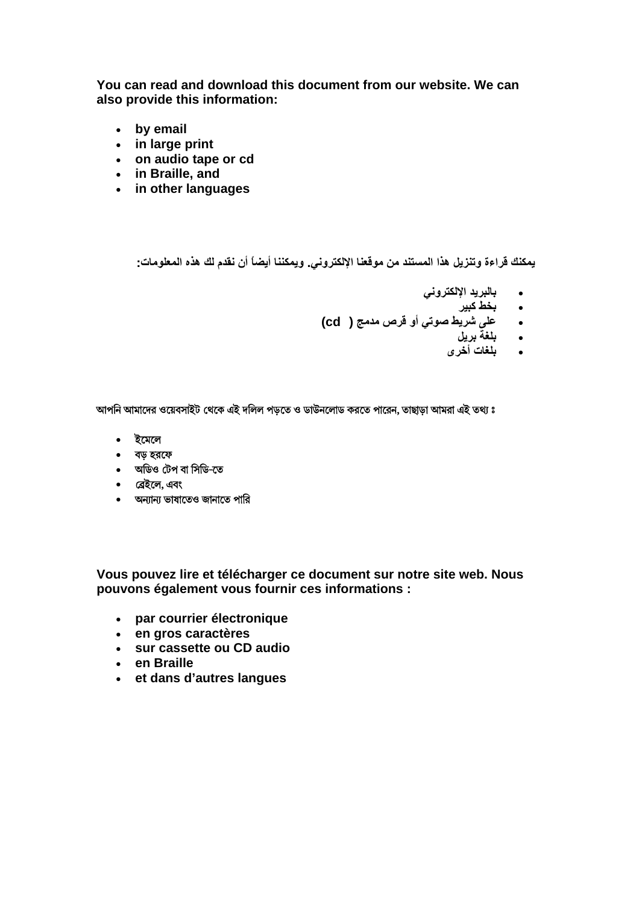**You can read and download this document from our website. We can also provide this information:**

- **by email**
- **in large print**
- **on audio tape or cd**
- **in Braille, and**
- **in other languages**

**يمكنك قراءة وتنزيل هذا المستند من موقعنا الإلكتروني. ويمكننا أيضاً أن نقدم لك هذه المعلومات :**

- **بالبريد الإلكتروني**
	- **بخط آبير**
- **على شريط صوتي أو قرص مدمج ( cd(**
	- **بلغة بريل**
	- **بلغات أخرى**

ত্মাপনি আমাদের ওয়েবসাইট থেকে এই দলিল পড়তে ও ডাউনলোড করতে পারেন, তাছাড়া আমরা এই তথ্য ঃ

- ইমেলে
- বড় হরফে
- অডিও টেপ বা সিডি-তে
- ব্রেইলে, এবং
- $\bullet$  তান্যান্য ভাষাতেও জানাতে পারি

**Vous pouvez lire et télécharger ce document sur notre site web. Nous pouvons également vous fournir ces informations :**

- **par courrier électronique**
- **en gros caractères**
- **sur cassette ou CD audio**
- **en Braille**
- **et dans d'autres langues**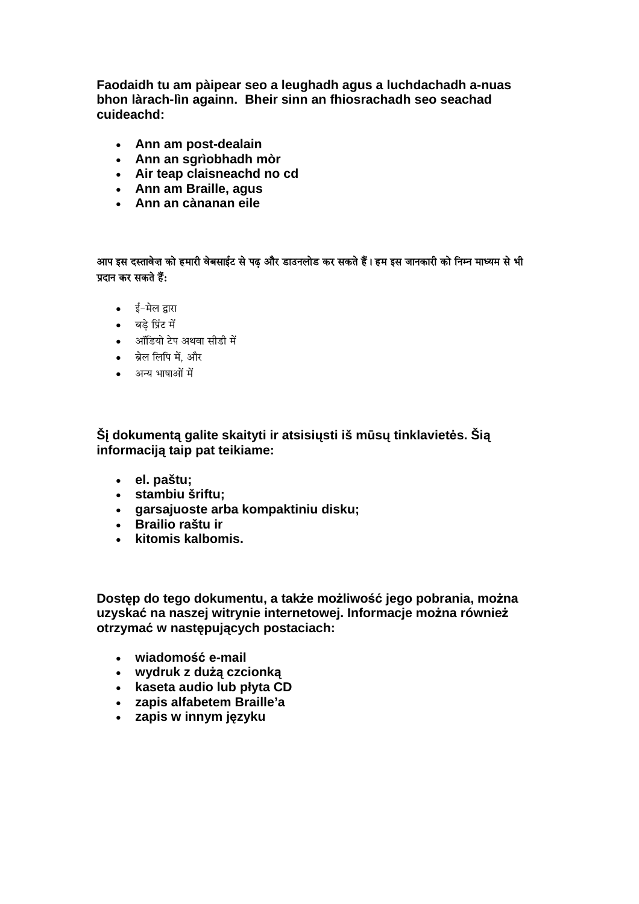**Faodaidh tu am pàipear seo a leughadh agus a luchdachadh a-nuas bhon làrach-lìn againn. Bheir sinn an fhiosrachadh seo seachad cuideachd:**

- **Ann am post-dealain**
- **Ann an sgrìobhadh mòr**
- **Air teap claisneachd no cd**
- **Ann am Braille, agus**
- **Ann an cànanan eile**

आप इस दस्तावेज़ को हमारी वेबसाईट से पढ और डाउनलोड कर सकते हैं। हम इस जानकारी को निम्न माध्यम से भी प्रदान कर सकते हैं:

- ई-मेल द्रारा
- बडे प्रिंट में
- ऑडियो टेप अथवा सीडी में
- ब्रेल लिपि में, और
- अन्य भाषाओं में

**Šį dokumentą galite skaityti ir atsisiųsti iš mūsų tinklavietės. Šią informaciją taip pat teikiame:**

- **el. paštu;**
- **stambiu šriftu;**
- **garsajuoste arba kompaktiniu disku;**
- **Brailio raštu ir**
- **kitomis kalbomis.**

**Dostęp do tego dokumentu, a także możliwość jego pobrania, można uzyskać na naszej witrynie internetowej. Informacje można również otrzymać w następujących postaciach:**

- **wiadomość e-mail**
- **wydruk z dużą czcionką**
- **kaseta audio lub płyta CD**
- **zapis alfabetem Braille'a**
- **zapis w innym języku**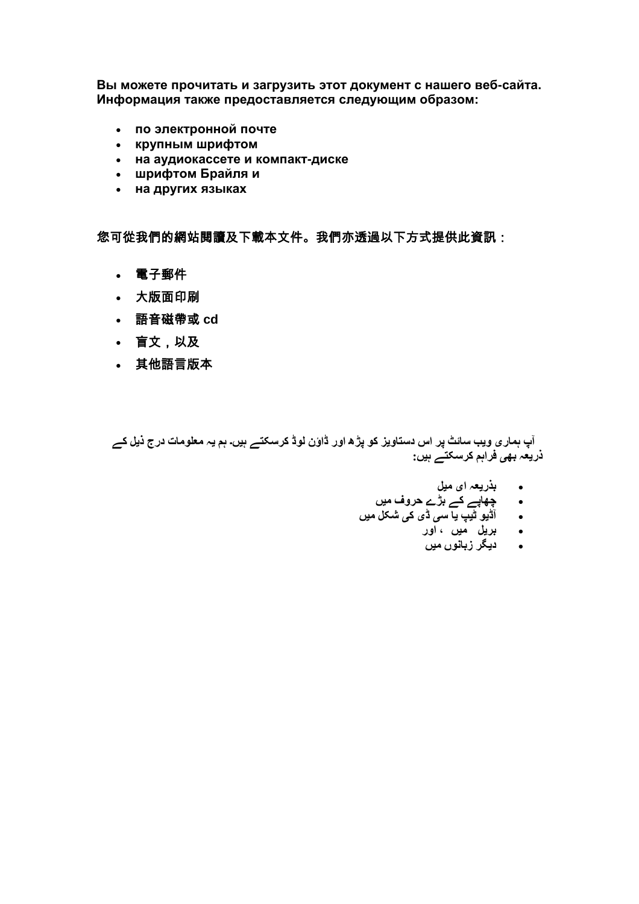**Вы можете прочитать и загрузить этот документ с нашего веб-сайта. Информация также предоставляется следующим образом:**

- **по электронной почте**
- **крупным шрифтом**
- **на аудиокассете и компакт-диске**
- **шрифтом Брайля и**
- **на других языках**

您可從我們的網站閱讀及下載本文件。我們亦透過以下方式提供此資訊:

- 電子郵件
- 大版面印刷
- 語音磁帶或 **cd**
- 盲文,以及
- 其他語言版本

آپ ہماری ویب سائٹ پر اس دستاویز کو پڑھ اور ڈاوَن لوڈ کرسکتے ہیں۔ ہم یہ معلومات درج ذیل کے **ذريعہ بهی فراہم کرسکتے ہيں:** 

- **بذريعہ ای ميل**
- **چهاپے کے بڑے حروف ميں**
- **آڈيو ٹيپ يا سی ڈی کی شکل ميں**
	- **بريل ميں ، اور**
	- **ديگر زبانوں ميں**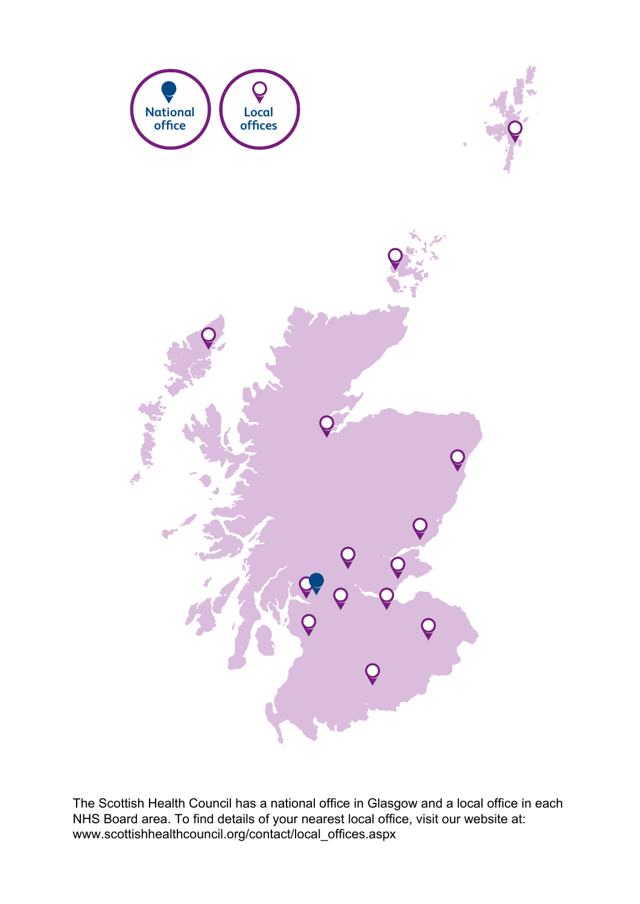

The Scottish Health Council has a national office in Glasgow and a local office in each NHS Board area. To find details of your nearest local office, visit our website at: www.scottishhealthcouncil.org/contact/local\_offices.aspx